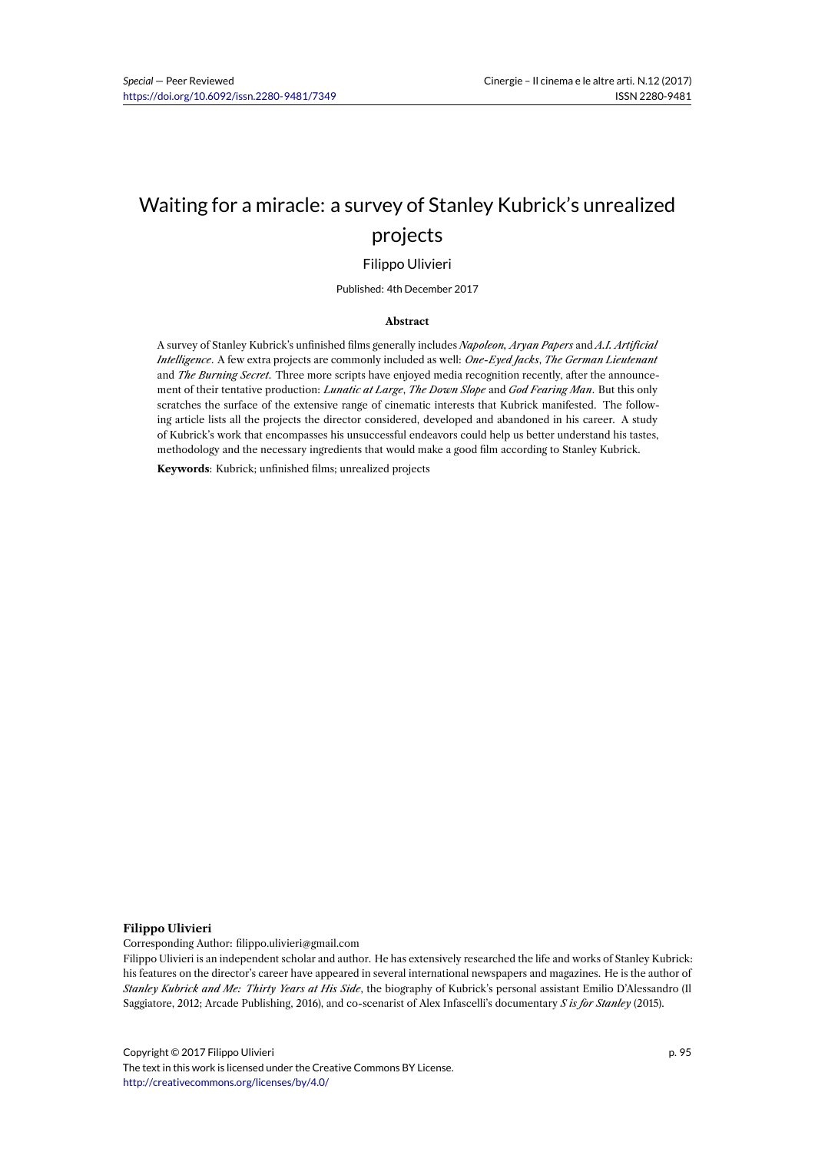# Waiting for a miracle: a survey of Stanley Kubrick's unrealized projects

### Filippo Ulivieri

Published: 4th December 2017

#### **Abstract**

A survey of Stanley Kubrick's unfinished films generally includes *Napoleon, Aryan Papers* and *A.I. Artificial Intelligence*. A few extra projects are commonly included as well: *One-Eyed Jacks*, *The German Lieutenant* and *The Burning Secret*. Three more scripts have enjoyed media recognition recently, after the announcement of their tentative production: *Lunatic at Large*, *The Down Slope* and *God Fearing Man*. But this only scratches the surface of the extensive range of cinematic interests that Kubrick manifested. The following article lists all the projects the director considered, developed and abandoned in his career. A study of Kubrick's work that encompasses his unsuccessful endeavors could help us better understand his tastes, methodology and the necessary ingredients that would make a good film according to Stanley Kubrick.

**Keywords**: Kubrick; unfinished films; unrealized projects

#### **Filippo Ulivieri**

Corresponding Author: filippo.ulivieri@gmail.com

Filippo Ulivieri is an independent scholar and author. He has extensively researched the life and works of Stanley Kubrick: his features on the director's career have appeared in several international newspapers and magazines. He is the author of *Stanley Kubrick and Me: Thirty Years at His Side*, the biography of Kubrick's personal assistant Emilio D'Alessandro (Il Saggiatore, 2012; Arcade Publishing, 2016), and co-scenarist of Alex Infascelli's documentary *S is for Stanley* (2015).

Copyright © 2017 Filippo Ulivieri The text in this work is licensed under the Creative Commons BY License. http://creativecommons.org/licenses/by/4.0/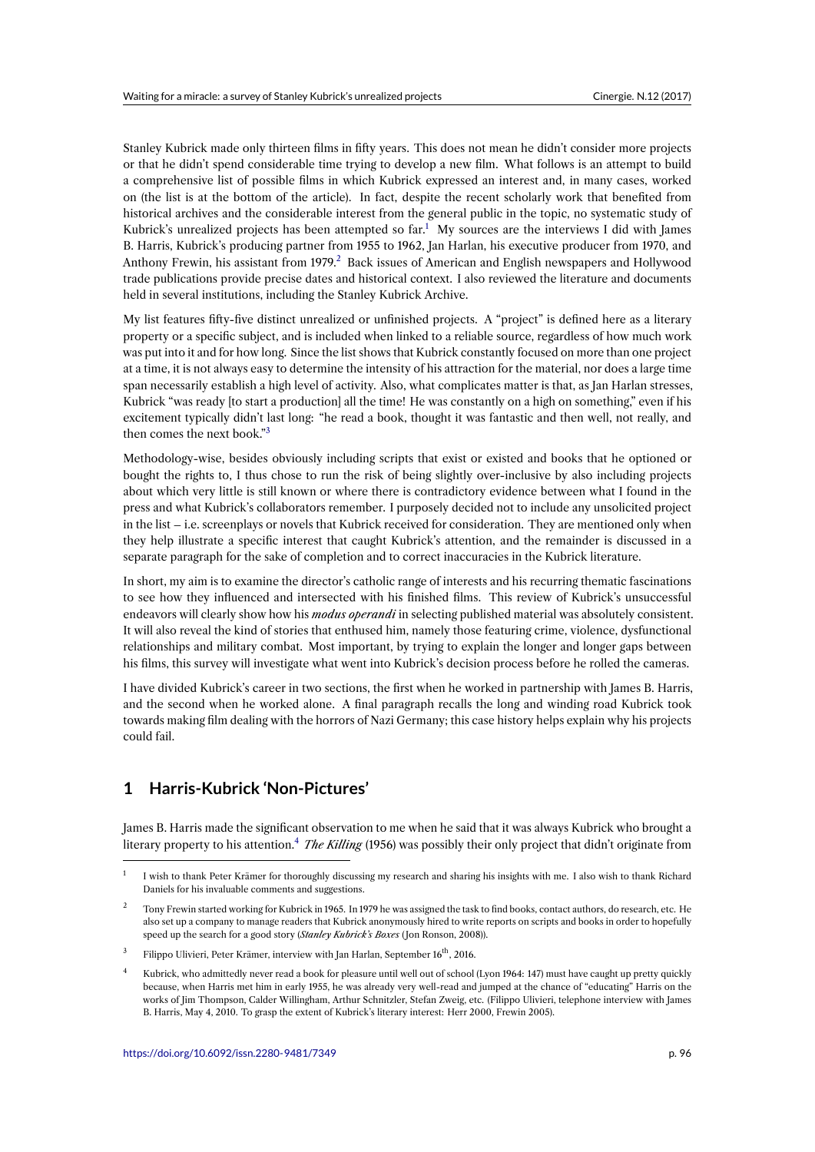Stanley Kubrick made only thirteen films in fifty years. This does not mean he didn't consider more projects or that he didn't spend considerable time trying to develop a new film. What follows is an attempt to build a comprehensive list of possible films in which Kubrick expressed an interest and, in many cases, worked on (the list is at the bottom of the article). In fact, despite the recent scholarly work that benefited from historical archives and the considerable interest from the general public in the topic, no systematic study of Kubrick's unrealized projects has been attempted so  $far<sup>1</sup>$ . My sources are the interviews I did with James B. Harris, Kubrick's producing partner from 1955 to 1962, Jan Harlan, his executive producer from 1970, and Anthony Frewin, his assistant from 1979.<sup>2</sup> Back issues of American and English newspapers and Hollywood trade publications provide precise dates and historical context. I also reviewed the literature and documents held in several institutions, including the Stanley Kubrick [A](#page-1-0)rchive.

My list features fifty-five distinct unreali[z](#page-1-1)ed or unfinished projects. A "project" is defined here as a literary property or a specific subject, and is included when linked to a reliable source, regardless of how much work was put into it and for how long. Since the list shows that Kubrick constantly focused on more than one project at a time, it is not always easy to determine the intensity of his attraction for the material, nor does a large time span necessarily establish a high level of activity. Also, what complicates matter is that, as Jan Harlan stresses, Kubrick "was ready [to start a production] all the time! He was constantly on a high on something," even if his excitement typically didn't last long: "he read a book, thought it was fantastic and then well, not really, and then comes the next book."<sup>3</sup>

Methodology-wise, besides obviously including scripts that exist or existed and books that he optioned or bought the rights to, I thus chose to run the risk of being slightly over-inclusive by also including projects about which very little is s[ti](#page-1-2)ll known or where there is contradictory evidence between what I found in the press and what Kubrick's collaborators remember. I purposely decided not to include any unsolicited project in the list – i.e. screenplays or novels that Kubrick received for consideration. They are mentioned only when they help illustrate a specific interest that caught Kubrick's attention, and the remainder is discussed in a separate paragraph for the sake of completion and to correct inaccuracies in the Kubrick literature.

In short, my aim is to examine the director's catholic range of interests and his recurring thematic fascinations to see how they influenced and intersected with his finished films. This review of Kubrick's unsuccessful endeavors will clearly show how his *modus operandi* in selecting published material was absolutely consistent. It will also reveal the kind of stories that enthused him, namely those featuring crime, violence, dysfunctional relationships and military combat. Most important, by trying to explain the longer and longer gaps between his films, this survey will investigate what went into Kubrick's decision process before he rolled the cameras.

I have divided Kubrick's career in two sections, the first when he worked in partnership with James B. Harris, and the second when he worked alone. A final paragraph recalls the long and winding road Kubrick took towards making film dealing with the horrors of Nazi Germany; this case history helps explain why his projects could fail.

# **1 Harris-Kubrick 'Non-Pictures'**

James B. Harris made the significant observation to me when he said that it was always Kubrick who brought a literary property to his attention.<sup>4</sup> *The Killing* (1956) was possibly their only project that didn't originate from

<sup>1</sup> I wish to thank Peter Krämer for thoroughly discussing my research and sharing his insights with me. I also wish to thank Richard Daniels for his invaluable comments and suggestions.

<sup>&</sup>lt;sup>2</sup> Tony Frewin started working for Ku[br](#page-1-3)ick in 1965. In 1979 he was assigned the task to find books, contact authors, do research, etc. He also set up a company to manage readers that Kubrick anonymously hired to write reports on scripts and books in order to hopefully speed up the search for a good story (*Stanley Kubrick's Boxes* ( Jon Ronson, 2008)).

<span id="page-1-0"></span><sup>&</sup>lt;sup>3</sup> Filippo Ulivieri, Peter Krämer, interview with Jan Harlan, September 16<sup>th</sup>, 2016.

<span id="page-1-3"></span><span id="page-1-2"></span><span id="page-1-1"></span><sup>4</sup> Kubrick, who admittedly never read a book for pleasure until well out of school (Lyon 1964: 147) must have caught up pretty quickly because, when Harris met him in early 1955, he was already very well-read and jumped at the chance of "educating" Harris on the works of Jim Thompson, Calder Willingham, Arthur Schnitzler, Stefan Zweig, etc. (Filippo Ulivieri, telephone interview with James B. Harris, May 4, 2010. To grasp the extent of Kubrick's literary interest: Herr 2000, Frewin 2005).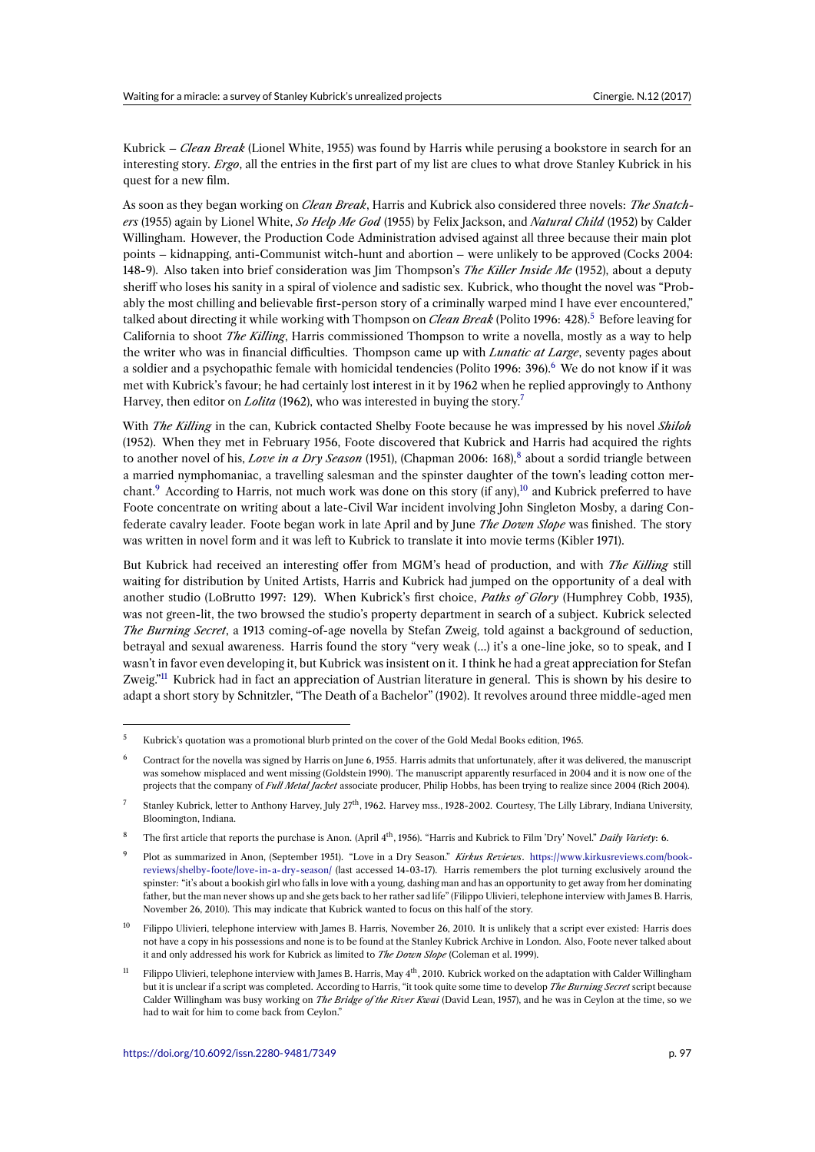Kubrick – *Clean Break* (Lionel White, 1955) was found by Harris while perusing a bookstore in search for an interesting story. *Ergo*, all the entries in the first part of my list are clues to what drove Stanley Kubrick in his quest for a new film.

As soon as they began working on *Clean Break*, Harris and Kubrick also considered three novels: *The Snatchers* (1955) again by Lionel White, *So Help Me God* (1955) by Felix Jackson, and *Natural Child* (1952) by Calder Willingham. However, the Production Code Administration advised against all three because their main plot points – kidnapping, anti-Communist witch-hunt and abortion – were unlikely to be approved (Cocks 2004: 148-9). Also taken into brief consideration was Jim Thompson's *The Killer Inside Me* (1952), about a deputy sheriff who loses his sanity in a spiral of violence and sadistic sex. Kubrick, who thought the novel was "Probably the most chilling and believable first-person story of a criminally warped mind I have ever encountered," talked about directing it while working with Thompson on *Clean Break* (Polito 1996: 428).<sup>5</sup> Before leaving for California to shoot *The Killing*, Harris commissioned Thompson to write a novella, mostly as a way to help the writer who was in financial difficulties. Thompson came up with *Lunatic at Large*, seventy pages about a soldier and a psychopathic female with homicidal tendencies (Polito 1996: 396).<sup>6</sup> We do not know if it was met with Kubrick's favour; he had certainly lost interest in it by 1962 when he replied app[ro](#page-2-0)vingly to Anthony Harvey, then editor on *Lolita* (1962), who was interested in buying the story.<sup>7</sup>

With *The Killing* in the can, Kubrick contacted Shelby Foote because he was im[pr](#page-2-1)essed by his novel *Shiloh* (1952). When they met in February 1956, Foote discovered that Kubrick and Harris had acquired the rights to another novel of his, *Love in a Dry Season* (1951), (Chapman 2006: 168), <sup>8</sup> about a sordid triangle between a married nymphomaniac, a travelling salesman and the spinster daughter [of](#page-2-2) the town's leading cotton merchant.<sup>9</sup> According to Harris, not much work was done on this story (if any),<sup>10</sup> and Kubrick preferred to have Foote concentrate on writing about a late-Civil War incident involving John Singleton Mosby, a daring Confederate cavalry leader. Foote began work in late April and by June *The D[ow](#page-2-3)n Slope* was finished. The story was written in novel form and it was left to Kubrick to translate it into movie terms (Kibler 1971).

But K[u](#page-2-4)brick had received an interesting offer from MGM's head of prod[uct](#page-2-5)ion, and with *The Killing* still waiting for distribution by United Artists, Harris and Kubrick had jumped on the opportunity of a deal with another studio (LoBrutto 1997: 129). When Kubrick's first choice, *Paths of Glory* (Humphrey Cobb, 1935), was not green-lit, the two browsed the studio's property department in search of a subject. Kubrick selected *The Burning Secret*, a 1913 coming-of-age novella by Stefan Zweig, told against a background of seduction, betrayal and sexual awareness. Harris found the story "very weak (…) it's a one-line joke, so to speak, and I wasn't in favor even developing it, but Kubrick was insistent on it. I think he had a great appreciation for Stefan Zweig.<sup>"11</sup> Kubrick had in fact an appreciation of Austrian literature in general. This is shown by his desire to adapt a short story by Schnitzler, "The Death of a Bachelor" (1902). It revolves around three middle-aged men

 $5$  Kub[ri](#page-2-6)ck's quotation was a promotional blurb printed on the cover of the Gold Medal Books edition, 1965.

<sup>6</sup> Contract for the novella was signed by Harris on June 6, 1955. Harris admits that unfortunately, after it was delivered, the manuscript was somehow misplaced and went missing (Goldstein 1990). The manuscript apparently resurfaced in 2004 and it is now one of the projects that the company of *Full Metal Jacket* associate producer, Philip Hobbs, has been trying to realize since 2004 (Rich 2004).

<span id="page-2-0"></span><sup>&</sup>lt;sup>7</sup> Stanley Kubrick, letter to Anthony Harvey, July  $27<sup>th</sup>$ , 1962. Harvey mss., 1928-2002. Courtesy, The Lilly Library, Indiana University, Bloomington, Indiana.

<span id="page-2-1"></span><sup>8</sup> The first article that reports the purchase is Anon. (April 4th, 1956). "Harris and Kubrick to Film 'Dry' Novel." *Daily Variety*: 6.

<span id="page-2-2"></span><sup>9</sup> Plot as summarized in Anon, (September 1951). "Love in a Dry Season." *Kirkus Reviews*. https://www.kirkusreviews.com/bookreviews/shelby-foote/love- in-a-dry-season/ (last accessed 14-03-17). Harris remembers the plot turning exclusively around the spinster: "it's about a bookish girl who falls in love with a young, dashing man and has an opportunity to get away from her dominating father, but the man never shows up and she gets back to her rather sad life" (Filippo Ulivieri, telephone interview with James B. Harris, November 26, 2010). This may indicate that Kubrick wanted to focus on this half of the story.

<span id="page-2-4"></span><span id="page-2-3"></span><sup>10</sup> Filippo Ulivieri, telephone interview with James B. Harris, November 26, 2010. It is unlikel[y that a script ever existed: Harris does](https://www.kirkusreviews.com/book-reviews/shelby-foote/love-in-a-dry-season/) [not have a copy in his possessions and none is](https://www.kirkusreviews.com/book-reviews/shelby-foote/love-in-a-dry-season/) to be found at the Stanley Kubrick Archive in London. Also, Foote never talked about it and only addressed his work for Kubrick as limited to *The Down Slope* (Coleman et al. 1999).

<span id="page-2-6"></span><span id="page-2-5"></span><sup>&</sup>lt;sup>11</sup> Filippo Ulivieri, telephone interview with James B. Harris, May  $4<sup>th</sup>$ , 2010. Kubrick worked on the adaptation with Calder Willingham but it is unclear if a script was completed. According to Harris, "it took quite some time to develop *The Burning Secret* script because Calder Willingham was busy working on *The Bridge of the River Kwai* (David Lean, 1957), and he was in Ceylon at the time, so we had to wait for him to come back from Ceylon."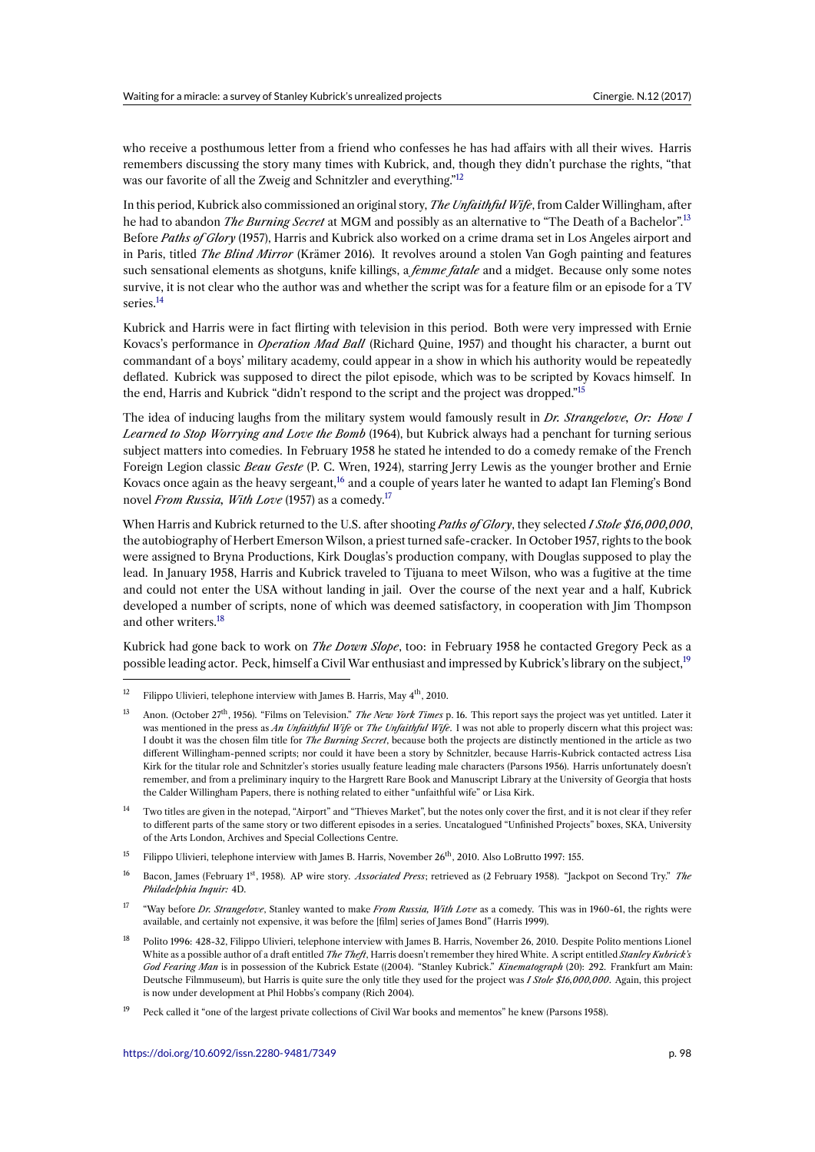who receive a posthumous letter from a friend who confesses he has had affairs with all their wives. Harris remembers discussing the story many times with Kubrick, and, though they didn't purchase the rights, "that was our favorite of all the Zweig and Schnitzler and everything."<sup>12</sup>

In this period, Kubrick also commissioned an original story, *The Unfaithful Wife*, from Calder Willingham, after he had to abandon *The Burning Secret* at MGM and possibly as an alternative to "The Death of a Bachelor".<sup>13</sup> Before *Paths of Glory* (1957), Harris and Kubrick also worked o[n a](#page-3-0) crime drama set in Los Angeles airport and in Paris, titled *The Blind Mirror* (Krämer 2016). It revolves around a stolen Van Gogh painting and features such sensational elements as shotguns, knife killings, a *femme fatale* and a midget. Because only some notes survive, it is not clear who the author was and whether the script was for a feature film or an episode for a [TV](#page-3-1) series.<sup>14</sup>

Kubrick and Harris were in fact flirting with television in this period. Both were very impressed with Ernie Kovacs's performance in *Operation Mad Ball* (Richard Quine, 1957) and thought his character, a burnt out com[man](#page-3-2)dant of a boys' military academy, could appear in a show in which his authority would be repeatedly deflated. Kubrick was supposed to direct the pilot episode, which was to be scripted by Kovacs himself. In the end, Harris and Kubrick "didn't respond to the script and the project was dropped."<sup>15</sup>

The idea of inducing laughs from the military system would famously result in *Dr. Strangelove, Or: How I Learned to Stop Worrying and Love the Bomb* (1964), but Kubrick always had a penchant for turning serious subject matters into comedies. In February 1958 he stated he intended to do a comedy [re](#page-3-3)make of the French Foreign Legion classic *Beau Geste* (P. C. Wren, 1924), starring Jerry Lewis as the younger brother and Ernie Kovacs once again as the heavy sergeant,<sup>16</sup> and a couple of years later he wanted to adapt Ian Fleming's Bond novel *From Russia, With Love* (1957) as a comedy.<sup>17</sup>

When Harris and Kubrick returned to the U.S. after shooting *Paths of Glory*, they selected *I Stole \$16,000,000*, the autobiography of Herbert Emerson [Wils](#page-3-4)on, a priest turned safe-cracker. In October 1957, rights to the book were assigned to Bryna Productions, Kirk Dougla[s's](#page-3-5) production company, with Douglas supposed to play the lead. In January 1958, Harris and Kubrick traveled to Tijuana to meet Wilson, who was a fugitive at the time and could not enter the USA without landing in jail. Over the course of the next year and a half, Kubrick developed a number of scripts, none of which was deemed satisfactory, in cooperation with Jim Thompson and other writers.<sup>18</sup>

Kubrick had gone back to work on *The Down Slope*, too: in February 1958 he contacted Gregory Peck as a possible leading actor. Peck, himself a Civil War enthusiast and impressed by Kubrick's library on the subject,<sup>19</sup>

- <span id="page-3-1"></span><sup>14</sup> Two titles are given in the notepad, "Airport" and "Thieves Market", but the notes only cover the first, and it is not clear if they refer to different parts of the same story or two different episodes in a series. Uncatalogued "Unfinished Projects" boxes, SKA, University of the Arts London, Archives and Special Collections Centre.
- <sup>15</sup> Filippo Ulivieri, telephone interview with James B. Harris, November 26<sup>th</sup>, 2010. Also LoBrutto 1997: 155.
- <span id="page-3-2"></span><sup>16</sup> Bacon, James (February 1st, 1958). AP wire story. *Associated Press*; retrieved as (2 February 1958). "Jackpot on Second Try." *The Philadelphia Inquir:* 4D.
- <span id="page-3-3"></span><sup>17</sup> "Way before *Dr. Strangelove*, Stanley wanted to make *From Russia, With Love* as a comedy. This was in 1960-61, the rights were available, and certainly not expensive, it was before the [film] series of James Bond" (Harris 1999).
- <span id="page-3-5"></span><span id="page-3-4"></span><sup>18</sup> Polito 1996: 428-32, Filippo Ulivieri, telephone interview with James B. Harris, November 26, 2010. Despite Polito mentions Lionel White as a possible author of a draft entitled *The Theft*, Harris doesn't remember they hired White. A script entitled *Stanley Kubrick's God Fearing Man* is in possession of the Kubrick Estate ((2004). "Stanley Kubrick." *Kinematograph* (20): 292. Frankfurt am Main: Deutsche Filmmuseum), but Harris is quite sure the only title they used for the project was *I Stole \$16,000,000*. Again, this project is now under development at Phil Hobbs's company (Rich 2004).
- <span id="page-3-7"></span><span id="page-3-6"></span><sup>19</sup> Peck called it "one of the largest private collections of Civil War books and mementos" he knew (Parsons 1958).

<sup>&</sup>lt;sup>12</sup>Filippo Ulivieri, t[ele](#page-3-6)phone interview with James B. Harris, May  $4<sup>th</sup>$ , 2010.

<span id="page-3-0"></span><sup>13</sup> Anon. (October 27th, 1956). "Films on Television." *The New York Times* p. 16. This report says the project was yet untitled. Later it was mentioned in the press as *An Unfaithful Wife* or *The Unfaithful Wife*. I was not able to properly discern what this project w[as:](#page-3-7) I doubt it was the chosen film title for *The Burning Secret*, because both the projects are distinctly mentioned in the article as two different Willingham-penned scripts; nor could it have been a story by Schnitzler, because Harris-Kubrick contacted actress Lisa Kirk for the titular role and Schnitzler's stories usually feature leading male characters (Parsons 1956). Harris unfortunately doesn't remember, and from a preliminary inquiry to the Hargrett Rare Book and Manuscript Library at the University of Georgia that hosts the Calder Willingham Papers, there is nothing related to either "unfaithful wife" or Lisa Kirk.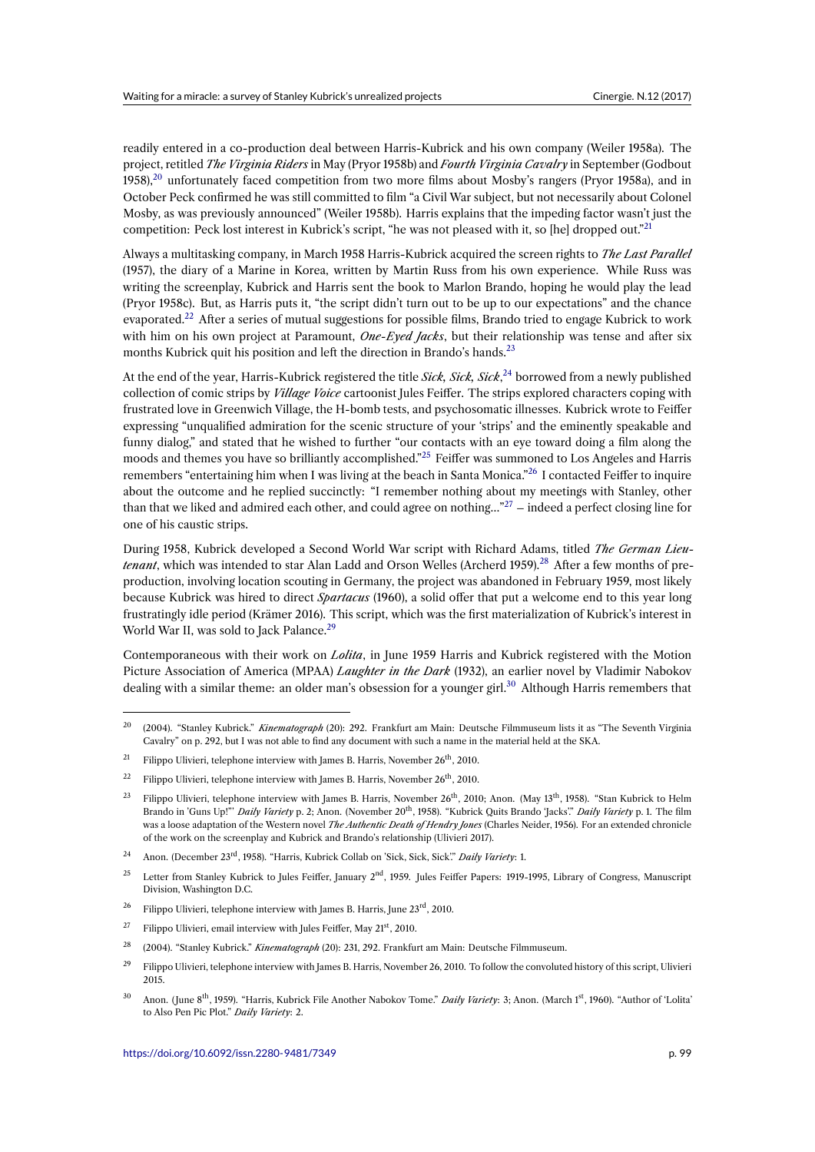readily entered in a co-production deal between Harris-Kubrick and his own company (Weiler 1958a). The project, retitled *The Virginia Riders* in May (Pryor 1958b) and *Fourth Virginia Cavalry* in September (Godbout 1958), $^{20}$  unfortunately faced competition from two more films about Mosby's rangers (Pryor 1958a), and in October Peck confirmed he was still committed to film "a Civil War subject, but not necessarily about Colonel Mosby, as was previously announced" (Weiler 1958b). Harris explains that the impeding factor wasn't just the competition: Peck lost interest in Kubrick's script, "he was not pleased with it, so [he] dropped out."<sup>21</sup>

Alwa[ys a](#page-4-0) multitasking company, in March 1958 Harris-Kubrick acquired the screen rights to *The Last Parallel* (1957), the diary of a Marine in Korea, written by Martin Russ from his own experience. While Russ was writing the screenplay, Kubrick and Harris sent the book to Marlon Brando, hoping he would pla[y t](#page-4-1)he lead (Pryor 1958c). But, as Harris puts it, "the script didn't turn out to be up to our expectations" and the chance evaporated.<sup>22</sup> After a series of mutual suggestions for possible films, Brando tried to engage Kubrick to work with him on his own project at Paramount, *One-Eyed Jacks*, but their relationship was tense and after six months Kubrick quit his position and left the direction in Brando's hands.<sup>23</sup>

At the end [of t](#page-4-2)he year, Harris-Kubrick registered the title *Sick, Sick, Sick*,<sup>24</sup> borrowed from a newly published collection of comic strips by *Village Voice* cartoonist Jules Feiffer. The strips explored characters coping with frustrated love in Greenwich Village, the H-bomb tests, and psychosomat[ic](#page-4-3) illnesses. Kubrick wrote to Feiffer expressing "unqualified admiration for the scenic structure of your 'strips' and the eminently speakable and funny dialog," and stated that he wished to further "our contacts with [an](#page-4-4) eye toward doing a film along the moods and themes you have so brilliantly accomplished."<sup>25</sup> Feiffer was summoned to Los Angeles and Harris remembers "entertaining him when I was living at the beach in Santa Monica."<sup>26</sup> I contacted Feiffer to inquire about the outcome and he replied succinctly: "I remember nothing about my meetings with Stanley, other than that we liked and admired each other, and could agree on nothing..."<sup>27</sup> – indeed a perfect closing line for one of his caustic strips.

During 1958, Kubrick developed a Second World War script with Richard [Ada](#page-4-5)ms, titled *The German Lieutenant*, which was intended to star Alan Ladd and Orson Welles (Archer[d 1](#page-4-6)959).<sup>28</sup> After a few months of preproduction, involving location scouting in Germany, the project was abandoned in February 1959, most likely because Kubrick was hired to direct *Spartacus* (1960), a solid offer that put a welcome end to this year long frustratingly idle period (Krämer 2016). This script, which was the first materialization of Kubrick's interest in World War II, was sold to Jack Palance.<sup>29</sup>

Contemporaneous with their work on *Lolita*, in June 1959 Harris and Kubrick registered with the Motion Picture Association of America (MPAA) *Laughter in the Dark* (1932), an earlier novel by Vladimir Nabokov dealing with a similar theme: an older [m](#page-4-7)an's obsession for a younger girl.<sup>30</sup> Although Harris remembers that

<sup>20</sup> (2004). "Stanley Kubrick." *Kinematograph* (20): 292. Frankfurt am Main: Deutsche Filmmuseum lists it as "The Seventh Virginia Cavalry" on p. 292, but I was not able to find any document with such a name in the material held at the SKA.

<sup>&</sup>lt;sup>21</sup> Filippo Ulivieri, telephone interview with James B. Harris, November 26<sup>th</sup>, 2010.

<sup>&</sup>lt;sup>22</sup> Filippo Ulivieri, telephone interview with James B. Harris, November  $26<sup>th</sup>$ , 2010.

<span id="page-4-1"></span><span id="page-4-0"></span><sup>&</sup>lt;sup>23</sup> Filippo Ulivieri, telephone interview with James B. Harris, November 26<sup>th</sup>, 2010; Anon. (May 13<sup>th</sup>, 1958). "Stan Kubrick to Helm Brando in 'Guns Up!"' *Daily Variety* p. 2; Anon. (November 20th, 1958). "Kubrick Quits Brando 'Jacks'." *Daily Variety* p. 1. The film was a loose adaptation of the Western novel *The Authentic Death of Hendry Jones* (Charles Neider, 1956). For an extended chronicle of the work on the screenplay and Kubrick and Brando's relationship (Ulivieri 2017).

<span id="page-4-3"></span><span id="page-4-2"></span><sup>24</sup> Anon. (December 23rd, 1958). "Harris, Kubrick Collab on 'Sick, Sick, Sick'." *Daily Variety*: 1.

<sup>&</sup>lt;sup>25</sup> Letter from Stanley Kubrick to Jules Feiffer, January  $2<sup>nd</sup>$ , 1959. Jules Feiffer Papers: 1919-1995, Library of Congress, Manuscript Division, Washington D.C.

<sup>&</sup>lt;sup>26</sup> Filippo Ulivieri, telephone interview with James B. Harris, June  $23^{\text{rd}}$ , 2010.

<span id="page-4-4"></span><sup>&</sup>lt;sup>27</sup> Filippo Ulivieri, email interview with Jules Feiffer, May  $21<sup>st</sup>$ , 2010.

<sup>28</sup> (2004). "Stanley Kubrick." *Kinematograph* (20): 231, 292. Frankfurt am Main: Deutsche Filmmuseum.

<span id="page-4-5"></span> $^{29}$  Filippo Ulivieri, telephone interview with James B. Harris, November 26, 2010. To follow the convoluted history of this script, Ulivieri 2015.

<span id="page-4-7"></span><span id="page-4-6"></span><sup>30</sup> Anon. ( June 8th, 1959). "Harris, Kubrick File Another Nabokov Tome." *Daily Variety*: 3; Anon. (March 1st, 1960). "Author of 'Lolita' to Also Pen Pic Plot." *Daily Variety*: 2.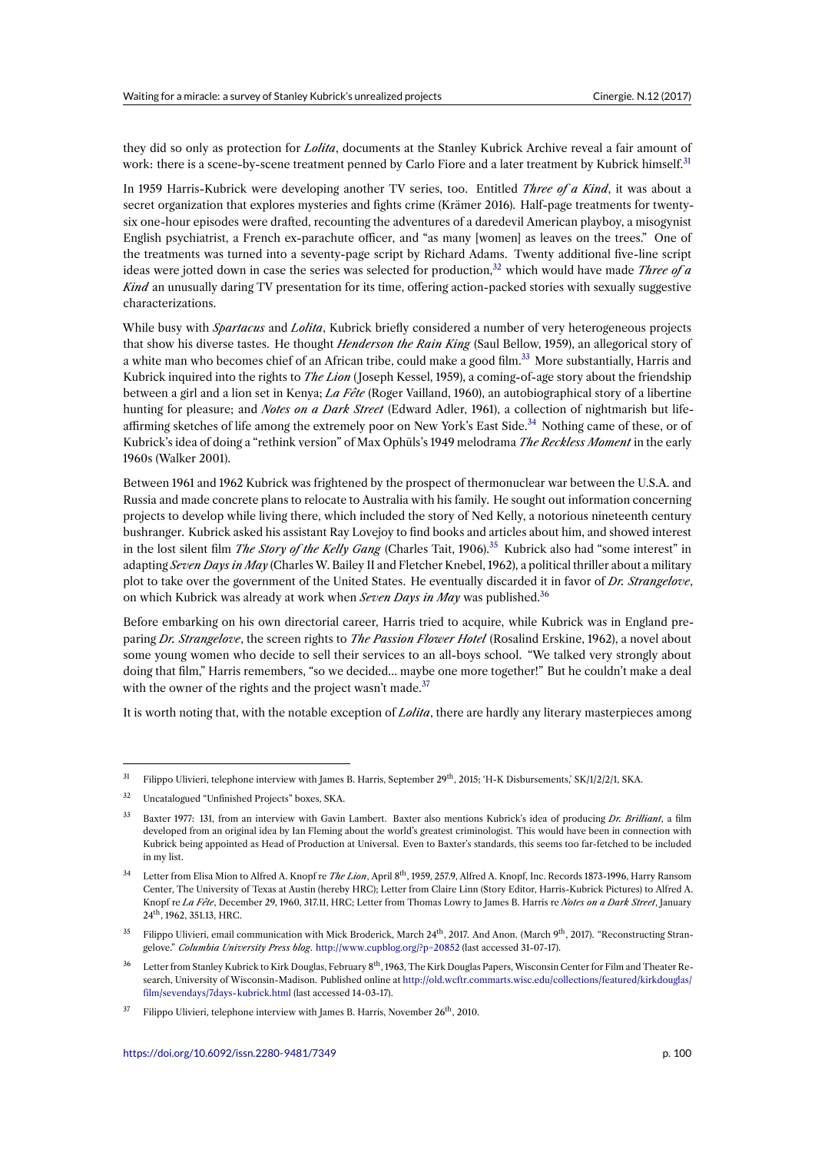they did so only as protection for *Lolita*, documents at the Stanley Kubrick Archive reveal a fair amount of work: there is a scene-by-scene treatment penned by Carlo Fiore and a later treatment by Kubrick himself.<sup>31</sup>

In 1959 Harris-Kubrick were developing another TV series, too. Entitled *Three of a Kind*, it was about a secret organization that explores mysteries and fights crime (Krämer 2016). Half-page treatments for twentysix one-hour episodes were drafted, recounting the adventures of a daredevil American playboy, a misogyni[st](#page-5-0) English psychiatrist, a French ex-parachute officer, and "as many [women] as leaves on the trees." One of the treatments was turned into a seventy-page script by Richard Adams. Twenty additional five-line script ideas were jotted down in case the series was selected for production,<sup>32</sup> which would have made *Three of a Kind* an unusually daring TV presentation for its time, offering action-packed stories with sexually suggestive characterizations.

While busy with *Spartacus* and *Lolita*, Kubrick briefly considered a n[um](#page-5-1)ber of very heterogeneous projects that show his diverse tastes. He thought *Henderson the Rain King* (Saul Bellow, 1959), an allegorical story of a white man who becomes chief of an African tribe, could make a good film.<sup>33</sup> More substantially, Harris and Kubrick inquired into the rights to *The Lion* ( Joseph Kessel, 1959), a coming-of-age story about the friendship between a girl and a lion set in Kenya; *La Fête* (Roger Vailland, 1960), an autobiographical story of a libertine hunting for pleasure; and *Notes on a Dark Street* (Edward Adler, 1961), a collection of nightmarish but lifeaffirming sketches of life among the extremely poor on New York's East Sid[e.](#page-5-2)<sup>34</sup> Nothing came of these, or of Kubrick's idea of doing a "rethink version" of Max Ophüls's 1949 melodrama *The Reckless Moment* in the early 1960s (Walker 2001).

Between 1961 and 1962 Kubrick was frightened by the prospect of thermonuc[lea](#page-5-3)r war between the U.S.A. and Russia and made concrete plans to relocate to Australia with his family. He sought out information concerning projects to develop while living there, which included the story of Ned Kelly, a notorious nineteenth century bushranger. Kubrick asked his assistant Ray Lovejoy to find books and articles about him, and showed interest in the lost silent film *The Story of the Kelly Gang* (Charles Tait, 1906).<sup>35</sup> Kubrick also had "some interest" in adapting *Seven Days in May* (Charles W. Bailey II and Fletcher Knebel, 1962), a political thriller about a military plot to take over the government of the United States. He eventually discarded it in favor of *Dr. Strangelove*, on which Kubrick was already at work when *Seven Days in May* was published.<sup>36</sup>

Before embarking on his own directorial career, Harris tried to acqu[ire](#page-5-4), while Kubrick was in England preparing *Dr. Strangelove*, the screen rights to *The Passion Flower Hotel* (Rosalind Erskine, 1962), a novel about some young women who decide to sell their services to an all-boys school. "[We](#page-5-5) talked very strongly about doing that film," Harris remembers, "so we decided… maybe one more together!" But he couldn't make a deal with the owner of the rights and the project wasn't made.<sup>37</sup>

It is worth noting that, with the notable exception of *Lolita*, there are hardly any literary masterpieces among

<sup>&</sup>lt;sup>31</sup> Filippo Ulivieri, telephone interview with James B. Harris, September 29<sup>th</sup>, 2015; 'H-K Disbursements,' SK/1/2/2/1, SKA.

<sup>32</sup> Uncatalogued "Unfinished Projects" boxes, SKA.

<span id="page-5-0"></span><sup>33</sup> Baxter 1977: 131, from an interview with Gavin Lambert. Baxter also mentions Kubrick's idea of producing *Dr. Brilliant*, a film developed from an original idea by Ian Fleming about the world's greatest criminologist. This would have been in connection with Kubrick being appointed as Head of Production at Universal. Even to Baxter's standards, this seems too far-fetched to be included in my list.

<span id="page-5-2"></span><span id="page-5-1"></span><sup>34</sup> Letter from Elisa Mion to Alfred A. Knopf re *The Lion*, April 8th, 1959, 257.9, Alfred A. Knopf, Inc. Records 1873-1996, Harry Ransom Center, The University of Texas at Austin (hereby HRC); Letter from Claire Linn (Story Editor, Harris-Kubrick Pictures) to Alfred A. Knopf re *La Fête*, December 29, 1960, 317.11, HRC; Letter from Thomas Lowry to James B. Harris re *Notes on a Dark Street*, January 24th, 1962, 351.13, HRC.

<span id="page-5-3"></span><sup>&</sup>lt;sup>35</sup> Filippo Ulivieri, email communication with Mick Broderick, March 24<sup>th</sup>, 2017. And Anon. (March 9<sup>th</sup>, 2017). "Reconstructing Strangelove." *Columbia University Press blog*. http://www.cupblog.org/?p=20852 (last accessed 31-07-17).

<sup>&</sup>lt;sup>36</sup> Letter from Stanley Kubrick to Kirk Douglas, February 8<sup>th</sup>, 1963, The Kirk Douglas Papers, Wisconsin Center for Film and Theater Research, University of Wisconsin-Madison. Published online at http://old.wcftr.commarts.wisc.edu/collections/featured/kirkdouglas/ film/sevendays/7days-kubrick.html (last accessed 14-03-17).

<span id="page-5-5"></span><span id="page-5-4"></span> $37$  Filippo Ulivieri, telephone interview with James B. Harris, November  $26<sup>th</sup>$ , 2010.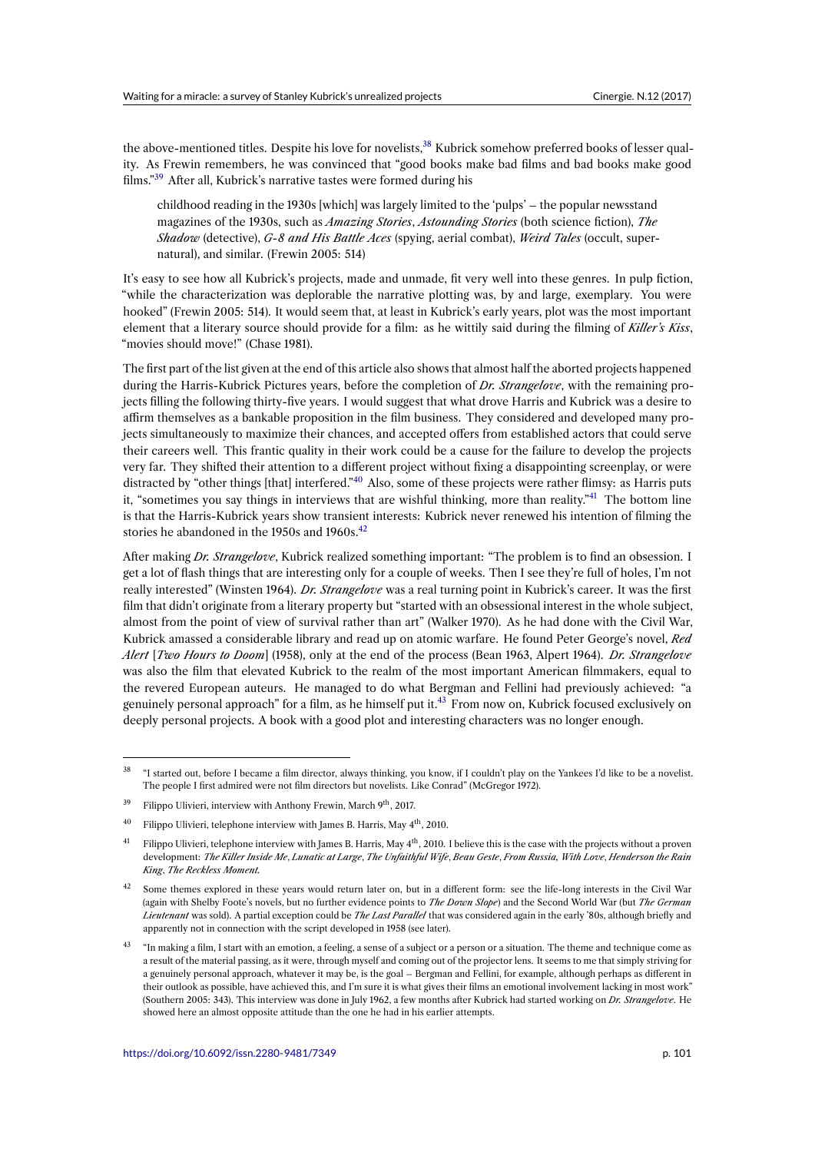the above-mentioned titles. Despite his love for novelists,<sup>38</sup> Kubrick somehow preferred books of lesser quality. As Frewin remembers, he was convinced that "good books make bad films and bad books make good films."<sup>39</sup> After all, Kubrick's narrative tastes were formed during his

childhood reading in the 1930s [which] was largely [lim](#page-6-0)ited to the 'pulps' – the popular newsstand magazines of the 1930s, such as *Amazing Stories*, *Astounding Stories* (both science fiction), *The [S](#page-6-1)hadow* (detective), *G-8 and His Battle Aces* (spying, aerial combat), *Weird Tales* (occult, supernatural), and similar. (Frewin 2005: 514)

It's easy to see how all Kubrick's projects, made and unmade, fit very well into these genres. In pulp fiction, "while the characterization was deplorable the narrative plotting was, by and large, exemplary. You were hooked" (Frewin 2005: 514). It would seem that, at least in Kubrick's early years, plot was the most important element that a literary source should provide for a film: as he wittily said during the filming of *Killer's Kiss*, "movies should move!" (Chase 1981).

The first part of the list given at the end of this article also shows that almost half the aborted projects happened during the Harris-Kubrick Pictures years, before the completion of *Dr. Strangelove*, with the remaining projects filling the following thirty-five years. I would suggest that what drove Harris and Kubrick was a desire to affirm themselves as a bankable proposition in the film business. They considered and developed many projects simultaneously to maximize their chances, and accepted offers from established actors that could serve their careers well. This frantic quality in their work could be a cause for the failure to develop the projects very far. They shifted their attention to a different project without fixing a disappointing screenplay, or were distracted by "other things [that] interfered."<sup>40</sup> Also, some of these projects were rather flimsy: as Harris puts it, "sometimes you say things in interviews that are wishful thinking, more than reality."<sup>41</sup> The bottom line is that the Harris-Kubrick years show transient interests: Kubrick never renewed his intention of filming the stories he abandoned in the 1950s and  $1960s.<sup>42</sup>$ 

After making *Dr. Strangelove*, Kubrick reali[zed](#page-6-2) something important: "The problem is to [fi](#page-6-3)nd an obsession. I get a lot of flash things that are interesting only for a couple of weeks. Then I see they're full of holes, I'm not really interested" (Winsten 1964). *Dr. Strang[elo](#page-6-4)ve* was a real turning point in Kubrick's career. It was the first film that didn't originate from a literary property but "started with an obsessional interest in the whole subject, almost from the point of view of survival rather than art" (Walker 1970). As he had done with the Civil War, Kubrick amassed a considerable library and read up on atomic warfare. He found Peter George's novel, *Red Alert* [*Two Hours to Doom*] (1958), only at the end of the process (Bean 1963, Alpert 1964). *Dr. Strangelove* was also the film that elevated Kubrick to the realm of the most important American filmmakers, equal to the revered European auteurs. He managed to do what Bergman and Fellini had previously achieved: "a genuinely personal approach" for a film, as he himself put it.<sup>43</sup> From now on, Kubrick focused exclusively on deeply personal projects. A book with a good plot and interesting characters was no longer enough.

 $38$  "I started out, before I became a film director, always thinking, you k[now](#page-6-5), if I couldn't play on the Yankees I'd like to be a novelist. The people I first admired were not film directors but novelists. Like Conrad" (McGregor 1972).

<sup>&</sup>lt;sup>39</sup> Filippo Ulivieri, interview with Anthony Frewin, March 9<sup>th</sup>, 2017.

Filippo Ulivieri, telephone interview with James B. Harris, May 4<sup>th</sup>, 2010.

<span id="page-6-0"></span><sup>&</sup>lt;sup>41</sup> Filippo Ulivieri, telephone interview with James B. Harris, May  $4<sup>th</sup>$ , 2010. I believe this is the case with the projects without a proven development: *The Killer Inside Me*, *Lunatic at Large*, *The Unfaithful Wife*, *Beau Geste*, *From Russia, With Love*, *Henderson the Rain King*, *The Reckless Moment.*

<span id="page-6-3"></span><span id="page-6-2"></span><span id="page-6-1"></span>Some themes explored in these years would return later on, but in a different form: see the life-long interests in the Civil War (again with Shelby Foote's novels, but no further evidence points to *The Down Slope*) and the Second World War (but *The German Lieutenant* was sold). A partial exception could be *The Last Parallel* that was considered again in the early '80s, although briefly and apparently not in connection with the script developed in 1958 (see later).

<span id="page-6-5"></span><span id="page-6-4"></span><sup>43</sup> "In making a film, I start with an emotion, a feeling, a sense of a subject or a person or a situation. The theme and technique come as a result of the material passing, as it were, through myself and coming out of the projector lens. It seems to me that simply striving for a genuinely personal approach, whatever it may be, is the goal – Bergman and Fellini, for example, although perhaps as different in their outlook as possible, have achieved this, and I'm sure it is what gives their films an emotional involvement lacking in most work" (Southern 2005: 343). This interview was done in July 1962, a few months after Kubrick had started working on *Dr. Strangelove*. He showed here an almost opposite attitude than the one he had in his earlier attempts.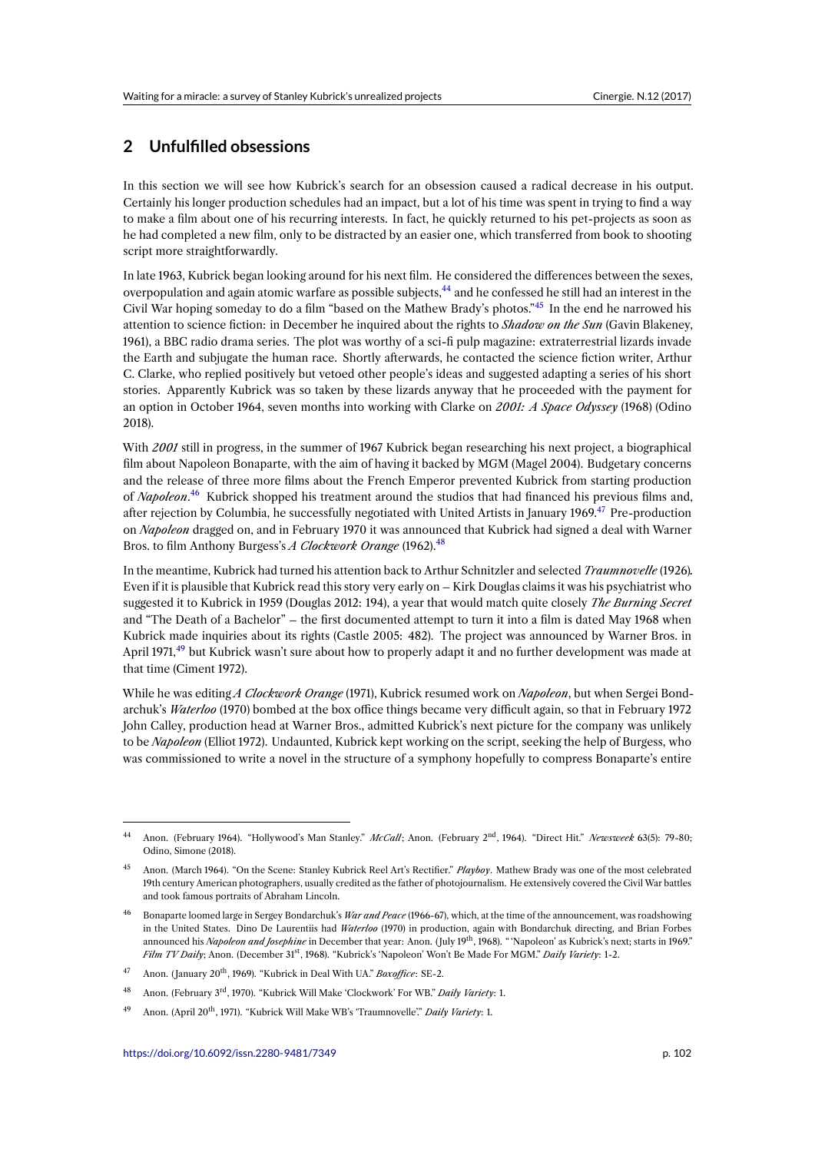# **2 Unfulfilled obsessions**

In this section we will see how Kubrick's search for an obsession caused a radical decrease in his output. Certainly his longer production schedules had an impact, but a lot of his time was spent in trying to find a way to make a film about one of his recurring interests. In fact, he quickly returned to his pet-projects as soon as he had completed a new film, only to be distracted by an easier one, which transferred from book to shooting script more straightforwardly.

In late 1963, Kubrick began looking around for his next film. He considered the differences between the sexes, overpopulation and again atomic warfare as possible subjects, <sup>44</sup> and he confessed he still had an interest in the Civil War hoping someday to do a film "based on the Mathew Brady's photos."<sup>45</sup> In the end he narrowed his attention to science fiction: in December he inquired about the rights to *Shadow on the Sun* (Gavin Blakeney, 1961), a BBC radio drama series. The plot was worthy of a sci-fi pulp magazine: extraterrestrial lizards invade the Earth and subjugate the human race. Shortly afterwards[, h](#page-7-0)e contacted the science fiction writer, Arthur C. Clarke, who replied positively but vetoed other people's ideas and suggeste[d a](#page-7-1)dapting a series of his short stories. Apparently Kubrick was so taken by these lizards anyway that he proceeded with the payment for an option in October 1964, seven months into working with Clarke on *2001: A Space Odyssey* (1968) (Odino 2018).

With *2001* still in progress, in the summer of 1967 Kubrick began researching his next project, a biographical film about Napoleon Bonaparte, with the aim of having it backed by MGM (Magel 2004). Budgetary concerns and the release of three more films about the French Emperor prevented Kubrick from starting production of *Napoleon*. <sup>46</sup> Kubrick shopped his treatment around the studios that had financed his previous films and, after rejection by Columbia, he successfully negotiated with United Artists in January 1969.<sup>47</sup> Pre-production on *Napoleon* dragged on, and in February 1970 it was announced that Kubrick had signed a deal with Warner Bros. to film Anthony Burgess's *A Clockwork Orange* (1962).<sup>48</sup>

In the meant[im](#page-7-2)e, Kubrick had turned his attention back to Arthur Schnitzler and selected *Tr[au](#page-7-3)mnovelle* (1926)*.* Even if it is plausible that Kubrick read this story very early on – Kirk Douglas claims it was his psychiatrist who suggested it to Kubrick in 1959 (Douglas 2012: 194), a year t[hat](#page-7-4) would match quite closely *The Burning Secret* and "The Death of a Bachelor" – the first documented attempt to turn it into a film is dated May 1968 when Kubrick made inquiries about its rights (Castle 2005: 482). The project was announced by Warner Bros. in April 1971,<sup>49</sup> but Kubrick wasn't sure about how to properly adapt it and no further development was made at that time (Ciment 1972).

While he was editing *A Clockwork Orange* (1971), Kubrick resumed work on *Napoleon*, but when Sergei Bondarchuk's *[Wa](#page-7-5)terloo* (1970) bombed at the box office things became very difficult again, so that in February 1972 John Calley, production head at Warner Bros., admitted Kubrick's next picture for the company was unlikely to be *Napoleon* (Elliot 1972). Undaunted, Kubrick kept working on the script, seeking the help of Burgess, who was commissioned to write a novel in the structure of a symphony hopefully to compress Bonaparte's entire

<sup>44</sup> Anon. (February 1964). "Hollywood's Man Stanley." *McCall*; Anon. (February 2nd, 1964). "Direct Hit." *Newsweek* 63(5): 79-80; Odino, Simone (2018).

<sup>45</sup> Anon. (March 1964). "On the Scene: Stanley Kubrick Reel Art's Rectifier." *Playboy*. Mathew Brady was one of the most celebrated 19th century American photographers, usually credited as the father of photojournalism. He extensively covered the Civil War battles and took famous portraits of Abraham Lincoln.

<span id="page-7-1"></span><span id="page-7-0"></span><sup>46</sup> Bonaparte loomed large in Sergey Bondarchuk's *War and Peace* (1966-67), which, at the time of the announcement, was roadshowing in the United States. Dino De Laurentiis had *Waterloo* (1970) in production, again with Bondarchuk directing, and Brian Forbes announced his *Napoleon and Josephine* in December that year: Anon. ( July 19th, 1968). " 'Napoleon' as Kubrick's next; starts in 1969." *Film TV Daily*; Anon. (December 31st, 1968). "Kubrick's 'Napoleon' Won't Be Made For MGM." *Daily Variety*: 1-2.

<span id="page-7-2"></span><sup>47</sup> Anon. ( January 20th, 1969). "Kubrick in Deal With UA." *Boxoffice*: SE-2.

<sup>48</sup> Anon. (February 3rd, 1970). "Kubrick Will Make 'Clockwork' For WB." *Daily Variety*: 1.

<span id="page-7-5"></span><span id="page-7-4"></span><span id="page-7-3"></span><sup>&</sup>lt;sup>49</sup> Anon. (April 20<sup>th</sup>, 1971). "Kubrick Will Make WB's 'Traumnovelle'." *Daily Variety*: 1.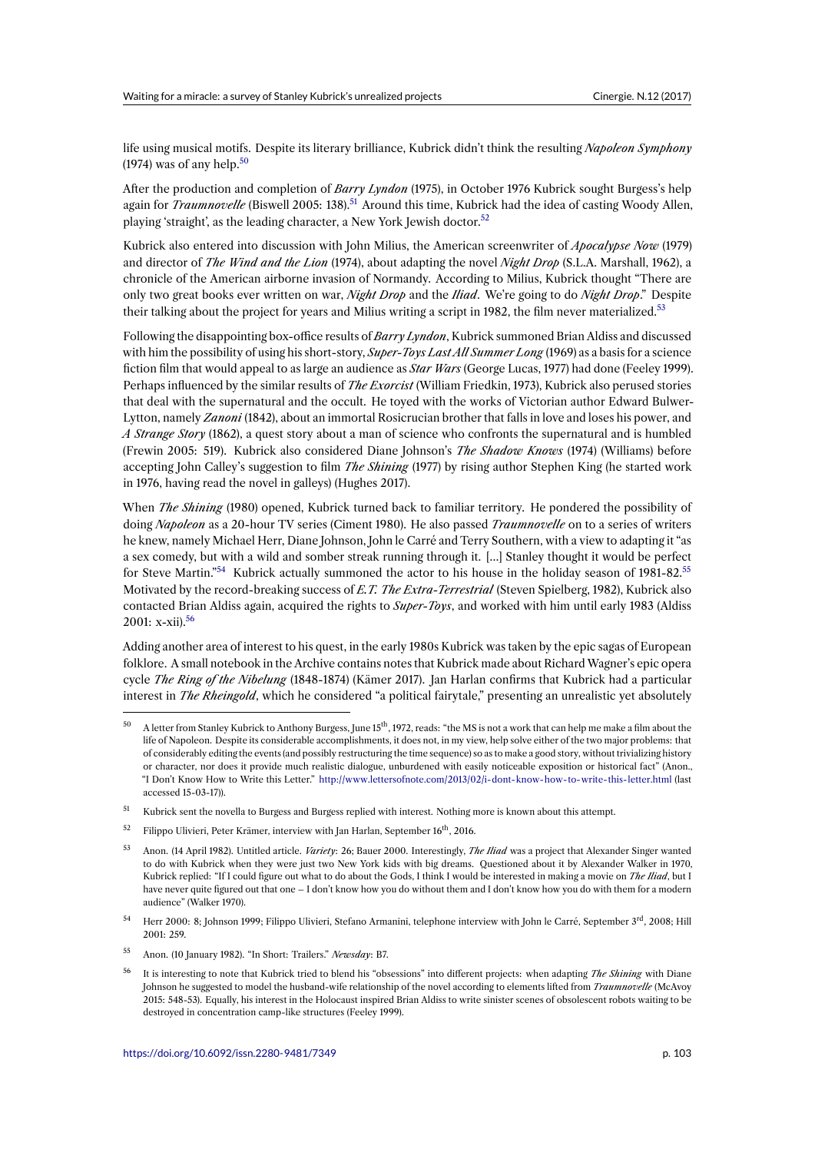life using musical motifs. Despite its literary brilliance, Kubrick didn't think the resulting *Napoleon Symphony* (1974) was of any help.<sup>50</sup>

After the production and completion of *Barry Lyndon* (1975), in October 1976 Kubrick sought Burgess's help again for *Traumnovelle* (Biswell 2005: 138).<sup>51</sup> Around this time, Kubrick had the idea of casting Woody Allen, playing 'straight', as th[e l](#page-8-0)eading character, a New York Jewish doctor.<sup>52</sup>

Kubrick also entered into discussion with John Milius, the American screenwriter of *Apocalypse Now* (1979) and director of *The Wind and the Lion* (19[74](#page-8-1)), about adapting the novel *Night Drop* (S.L.A. Marshall, 1962), a chronicle of the American airborne invasion of Normandy. Accordi[ng](#page-8-2) to Milius, Kubrick thought "There are only two great books ever written on war, *Night Drop* and the *Iliad*. We're going to do *Night Drop*." Despite their talking about the project for years and Milius writing a script in 1982, the film never materialized.<sup>53</sup>

Following the disappointing box-office results of *Barry Lyndon*, Kubrick summoned Brian Aldiss and discussed with him the possibility of using his short-story, *Super-Toys Last All Summer Long* (1969) as a basis for a science fiction film that would appeal to as large an audience as *Star Wars* (George Lucas, 1977) had done (Feele[y 1](#page-8-3)999). Perhaps influenced by the similar results of *The Exorcist* (William Friedkin, 1973), Kubrick also perused stories that deal with the supernatural and the occult. He toyed with the works of Victorian author Edward Bulwer-Lytton, namely *Zanoni* (1842), about an immortal Rosicrucian brother that falls in love and loses his power, and *A Strange Story* (1862), a quest story about a man of science who confronts the supernatural and is humbled (Frewin 2005: 519). Kubrick also considered Diane Johnson's *The Shadow Knows* (1974) (Williams) before accepting John Calley's suggestion to film *The Shining* (1977) by rising author Stephen King (he started work in 1976, having read the novel in galleys) (Hughes 2017).

When *The Shining* (1980) opened, Kubrick turned back to familiar territory. He pondered the possibility of doing *Napoleon* as a 20-hour TV series (Ciment 1980). He also passed *Traumnovelle* on to a series of writers he knew, namely Michael Herr, Diane Johnson, John le Carré and Terry Southern, with a view to adapting it "as a sex comedy, but with a wild and somber streak running through it. […] Stanley thought it would be perfect for Steve Martin."<sup>54</sup> Kubrick actually summoned the actor to his house in the holiday season of 1981-82.<sup>55</sup> Motivated by the record-breaking success of *E.T. The Extra-Terrestrial* (Steven Spielberg, 1982), Kubrick also contacted Brian Aldiss again, acquired the rights to *Super-Toys*, and worked with him until early 1983 (Aldiss  $2001: x-xii$ <sup>56</sup>

Adding another ar[ea](#page-8-4) of interest to his quest, in the early 1980s Kubrick was taken by the epic sagas of Europe[an](#page-8-5) folklore. A small notebook in the Archive contains notes that Kubrick made about Richard Wagner's epic opera cycle *The R[in](#page-8-6)g of the Nibelung* (1848-1874) (Kämer 2017). Jan Harlan confirms that Kubrick had a particular interest in *The Rheingold*, which he considered "a political fairytale," presenting an unrealistic yet absolutely

- <span id="page-8-0"></span><sup>51</sup> Kubrick sent the novella to Burgess and Burgess replied with interest. Nothing more is known about this attempt.
- <sup>52</sup> Filippo Ulivieri, Peter Krämer, interview with Jan Harlan, September  $16<sup>th</sup>$ , 2016.

- <span id="page-8-3"></span><span id="page-8-2"></span><sup>54</sup> Herr 2000: 8; Johnson 1999; Filippo Ulivieri, Stefano Armanini, telephone interview with John le Carré, September 3<sup>rd</sup>, 2008; Hill 2001: 259.
- <sup>55</sup> Anon. (10 January 1982). "In Short: Trailers." *Newsday*: B7.
- <span id="page-8-6"></span><span id="page-8-5"></span><span id="page-8-4"></span><sup>56</sup> It is interesting to note that Kubrick tried to blend his "obsessions" into different projects: when adapting *The Shining* with Diane Johnson he suggested to model the husband-wife relationship of the novel according to elements lifted from *Traumnovelle* (McAvoy 2015: 548-53). Equally, his interest in the Holocaust inspired Brian Aldiss to write sinister scenes of obsolescent robots waiting to be destroyed in concentration camp-like structures (Feeley 1999).

<sup>50</sup> A letter from Stanley Kubrick to Anthony Burgess, June 15th, 1972, reads: "the MS is not a work that can help me make a film about the life of Napoleon. Despite its considerable accomplishments, it does not, in my view, help solve either of the two major problems: that of considerably editing the events (and possibly restructuring the time sequence) so as to make a good story, without trivializing history or character, nor does it provide much realistic dialogue, unburdened with easily noticeable exposition or historical fact" (Anon., "I Don't Know How to Write this Letter." http://www.lettersofnote.com/2013/02/i-dont-know-how-to-write-this-letter.html (last accessed 15-03-17)).

<span id="page-8-1"></span><sup>53</sup> Anon. (14 April 1982). Untitled article. *Variety*: 26; Bauer 2000. Interestingly, *The Iliad* [was a project that Alexander Singer wa](http://www.lettersofnote.com/2013/02/i-dont-know-how-to-write-this-letter.html)nted to do with Kubrick when they were just two New York kids with big dreams. Questioned about it by Alexander Walker in 1970, Kubrick replied: "If I could figure out what to do about the Gods, I think I would be interested in making a movie on *The Iliad*, but I have never quite figured out that one – I don't know how you do without them and I don't know how you do with them for a modern audience" (Walker 1970).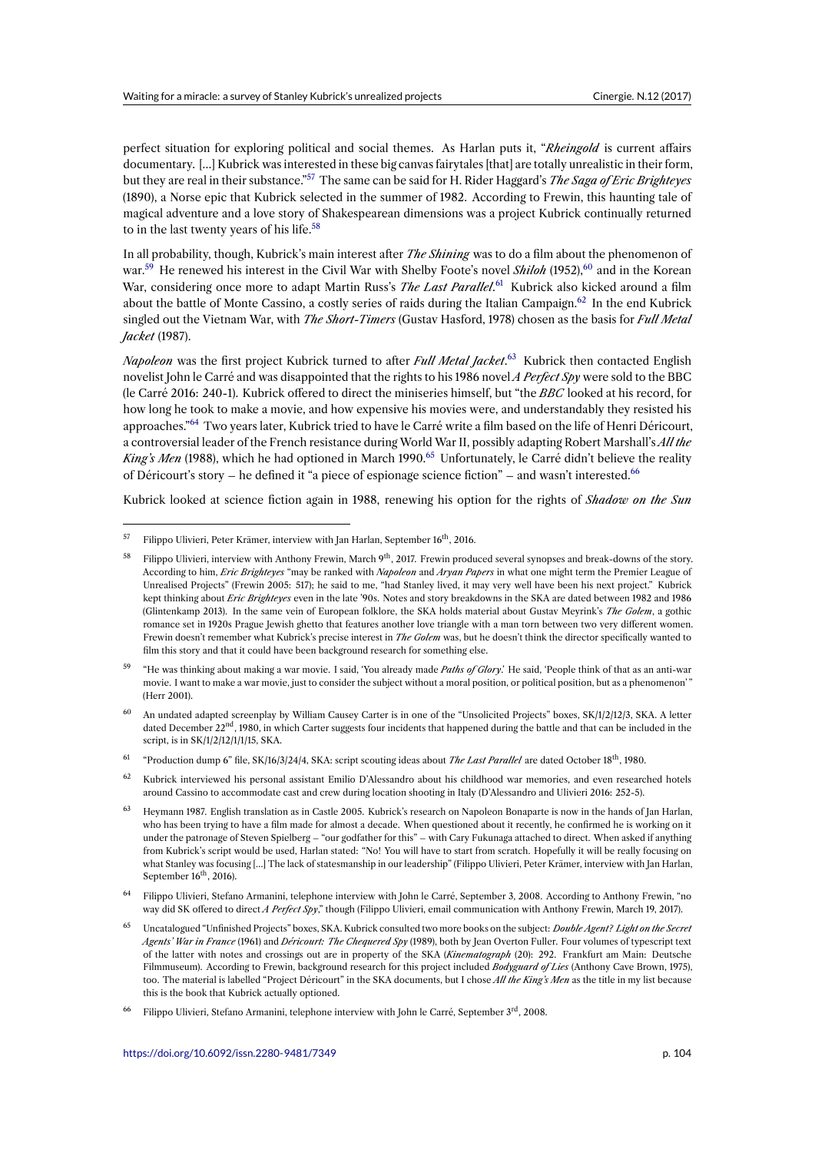perfect situation for exploring political and social themes. As Harlan puts it, "*Rheingold* is current affairs documentary. […] Kubrick was interested in these big canvas fairytales [that] are totally unrealistic in their form, but they are real in their substance."<sup>57</sup> The same can be said for H. Rider Haggard's *The Saga of Eric Brighteyes* (1890), a Norse epic that Kubrick selected in the summer of 1982. According to Frewin, this haunting tale of magical adventure and a love story of Shakespearean dimensions was a project Kubrick continually returned to in the last twenty years of his life.<sup>58</sup>

In all probability, though, Kubrick's [m](#page-9-0)ain interest after *The Shining* was to do a film about the phenomenon of war.<sup>59</sup> He renewed his interest in the Civil War with Shelby Foote's novel *Shiloh* (1952),<sup>60</sup> and in the Korean War, considering once more to ada[pt](#page-9-1) Martin Russ's *The Last Parallel*.<sup>61</sup> Kubrick also kicked around a film about the battle of Monte Cassino, a costly series of raids during the Italian Campaign.<sup>62</sup> In the end Kubrick singled out the Vietnam War, with *The Short-Timers* (Gustav Hasford, 1978) chosen as the basis for *Full Metal Jac[ket](#page-9-2)* (1987).

*Napoleon* was the first project Kubrick turned to after *Full Metal Jack[et](#page-9-3)*. <sup>63</sup> Kubrick t[he](#page-9-4)n contacted English novelist John le Carré and was disappointed that the rights to his 1986 novel *A Perfect Spy* were sold to the BBC (le Carré 2016: 240-1). Kubrick offered to direct the miniseries himself, but "the *BBC* looked at his record, for how long he took to make a movie, and how expensive his movies were, and understandably they resisted his approaches."<sup>64</sup> Two years later, Kubrick tried to have le Carré write a film [ba](#page-9-5)sed on the life of Henri Déricourt, a controversial leader of the French resistance during World War II, possibly adapting Robert Marshall's *All the* King's Men (1988), which he had optioned in March 1990.<sup>65</sup> Unfortunately, le Carré didn't believe the reality of Déricourt's story – he defined it "a piece of espionage science fiction" – and wasn't interested.<sup>66</sup>

Kubrick loo[ke](#page-9-6)d at science fiction again in 1988, renewing his option for the rights of *Shadow on the Sun* 

<span id="page-9-5"></span><sup>64</sup> Filippo Ulivieri, Stefano Armanini, telephone interview with John le Carré, September 3, 2008. According to Anthony Frewin, "no way did SK offered to direct *A Perfect Spy*," though (Filippo Ulivieri, email communication with Anthony Frewin, March 19, 2017).

<sup>&</sup>lt;sup>57</sup> Filippo Ulivieri, Peter Krämer, interview with Jan Harlan, September 16<sup>th</sup>, 2016.

<span id="page-9-0"></span><sup>&</sup>lt;sup>58</sup> Filippo Ulivieri, interview with Anthony Frewin, March 9<sup>th</sup>, 2017. Frewin produced several synopses and break-downs of the story. According to him, *Eric Brighteyes* "may be ranked with *Napoleon* and *Aryan Papers* in what one might term the Premier League of Unrealised Projects" (Frewin 2005: 517); he said to me, "had Stanley lived, it may very well have been his next project." Kubrick kept thinking about *Eric Brighteyes* even in the late '90s. Notes and story breakdowns in the SKA are dated between 1982 and 1986 (Glintenkamp 2013). In the same vein of European folklore, the SKA holds material about Gustav Meyrink's *The Golem*, a gothic romance set in 1920s Prague Jewish ghetto that features another love triangle with a man torn between two very different women. Frewin doesn't remember what Kubrick's precise interest in *The Golem* was, but he doesn't think the director specifically wanted to film this story and that it could have been background research for something else.

<span id="page-9-1"></span><sup>59</sup> "He was thinking about making a war movie. I said, 'You already made *Paths of Glory*.' He said, 'People think of that as an anti-war movie. I want to make a war movie, just to consider the subject without a moral position, or political position, but as a phenomenon' " (Herr 2001).

<span id="page-9-2"></span> $60$  An undated adapted screenplay by William Causey Carter is in one of the "Unsolicited Projects" boxes, SK/1/2/12/3, SKA. A letter dated December 22<sup>nd</sup>, 1980, in which Carter suggests four incidents that happened during the battle and that can be included in the script, is in SK/1/2/12/1/1/15, SKA.

<sup>61</sup> "Production dump 6" file, SK/16/3/24/4, SKA: script scouting ideas about *The Last Parallel* are dated October 18th, 1980.

 $62$  Kubrick interviewed his personal assistant Emilio D'Alessandro about his childhood war memories, and even researched hotels around Cassino to accommodate cast and crew during location shooting in Italy (D'Alessandro and Ulivieri 2016: 252-5).

<span id="page-9-4"></span><span id="page-9-3"></span><sup>63</sup> Heymann 1987. English translation as in Castle 2005. Kubrick's research on Napoleon Bonaparte is now in the hands of Jan Harlan, who has been trying to have a film made for almost a decade. When questioned about it recently, he confirmed he is working on it under the patronage of Steven Spielberg – "our godfather for this" – with Cary Fukunaga attached to direct. When asked if anything from Kubrick's script would be used, Harlan stated: "No! You will have to start from scratch. Hopefully it will be really focusing on what Stanley was focusing […] The lack of statesmanship in our leadership" (Filippo Ulivieri, Peter Krämer, interview with Jan Harlan, September  $16<sup>th</sup>$ , 2016).

<span id="page-9-6"></span><sup>65</sup> Uncatalogued "Unfinished Projects" boxes, SKA. Kubrick consulted two more books on the subject: *Double Agent? Light on the Secret Agents' War in France* (1961) and *Déricourt: The Chequered Spy* (1989), both by Jean Overton Fuller. Four volumes of typescript text of the latter with notes and crossings out are in property of the SKA (*Kinematograph* (20): 292. Frankfurt am Main: Deutsche Filmmuseum). According to Frewin, background research for this project included *Bodyguard of Lies* (Anthony Cave Brown, 1975), too. The material is labelled "Project Déricourt" in the SKA documents, but I chose *All the King's Men* as the title in my list because this is the book that Kubrick actually optioned.

Filippo Ulivieri, Stefano Armanini, telephone interview with John le Carré, September 3<sup>rd</sup>, 2008.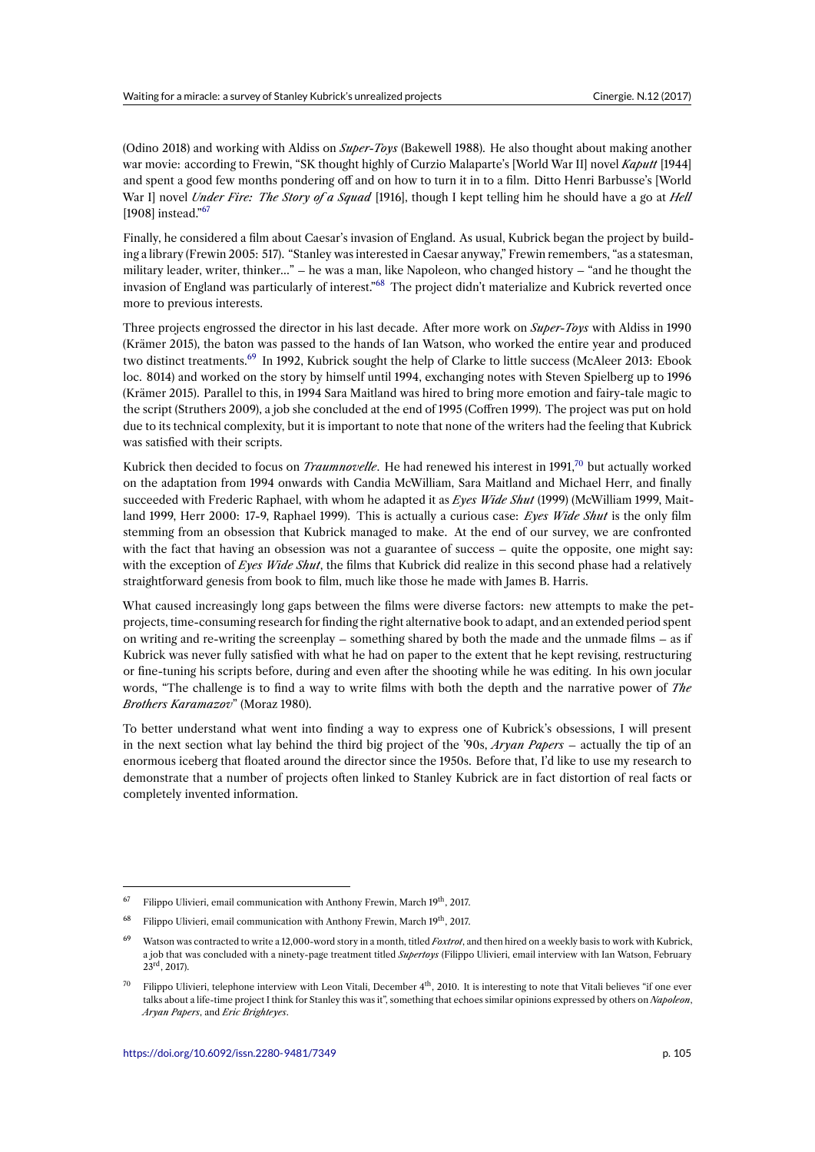(Odino 2018) and working with Aldiss on *Super-Toys* (Bakewell 1988). He also thought about making another war movie: according to Frewin, "SK thought highly of Curzio Malaparte's [World War II] novel *Kaputt* [1944] and spent a good few months pondering off and on how to turn it in to a film. Ditto Henri Barbusse's [World War I] novel *Under Fire: The Story of a Squad* [1916], though I kept telling him he should have a go at *Hell* [1908] instead."<sup>67</sup>

Finally, he considered a film about Caesar's invasion of England. As usual, Kubrick began the project by building a library (Frewin 2005: 517). "Stanley was interested in Caesar anyway," Frewin remembers, "as a statesman, military leader, [w](#page-10-0)riter, thinker…" – he was a man, like Napoleon, who changed history – "and he thought the invasion of England was particularly of interest."<sup>68</sup> The project didn't materialize and Kubrick reverted once more to previous interests.

Three projects engrossed the director in his last decade. After more work on *Super-Toys* with Aldiss in 1990 (Krämer 2015), the baton was passed to the han[ds](#page-10-1) of Ian Watson, who worked the entire year and produced two distinct treatments.<sup>69</sup> In 1992, Kubrick sought the help of Clarke to little success (McAleer 2013: Ebook loc. 8014) and worked on the story by himself until 1994, exchanging notes with Steven Spielberg up to 1996 (Krämer 2015). Parallel to this, in 1994 Sara Maitland was hired to bring more emotion and fairy-tale magic to the script (Struthers 2009), a job she concluded at the end of 1995 (Coffren 1999). The project was put on hold due to its technical com[pl](#page-10-2)exity, but it is important to note that none of the writers had the feeling that Kubrick was satisfied with their scripts.

Kubrick then decided to focus on *Traumnovelle*. He had renewed his interest in 1991,<sup>70</sup> but actually worked on the adaptation from 1994 onwards with Candia McWilliam, Sara Maitland and Michael Herr, and finally succeeded with Frederic Raphael, with whom he adapted it as *Eyes Wide Shut* (1999) (McWilliam 1999, Maitland 1999, Herr 2000: 17-9, Raphael 1999). This is actually a curious case: *Eyes Wide Shut* is the only film stemming from an obsession that Kubrick managed to make. At the end of our surv[ey](#page-10-3), we are confronted with the fact that having an obsession was not a guarantee of success – quite the opposite, one might say: with the exception of *Eyes Wide Shut*, the films that Kubrick did realize in this second phase had a relatively straightforward genesis from book to film, much like those he made with James B. Harris.

What caused increasingly long gaps between the films were diverse factors: new attempts to make the petprojects, time-consuming research for finding the right alternative book to adapt, and an extended period spent on writing and re-writing the screenplay – something shared by both the made and the unmade films – as if Kubrick was never fully satisfied with what he had on paper to the extent that he kept revising, restructuring or fine-tuning his scripts before, during and even after the shooting while he was editing. In his own jocular words, "The challenge is to find a way to write films with both the depth and the narrative power of *The Brothers Karamazov*" (Moraz 1980).

To better understand what went into finding a way to express one of Kubrick's obsessions, I will present in the next section what lay behind the third big project of the '90s, *Aryan Papers* – actually the tip of an enormous iceberg that floated around the director since the 1950s. Before that, I'd like to use my research to demonstrate that a number of projects often linked to Stanley Kubrick are in fact distortion of real facts or completely invented information.

 $67$  Filippo Ulivieri, email communication with Anthony Frewin, March 19<sup>th</sup>, 2017.

<sup>&</sup>lt;sup>68</sup> Filippo Ulivieri, email communication with Anthony Frewin, March 19<sup>th</sup>, 2017.

<sup>69</sup> Watson was contracted to write a 12,000-word story in a month, titled *Foxtrot*, and then hired on a weekly basis to work with Kubrick, a job that was concluded with a ninety-page treatment titled *Supertoys* (Filippo Ulivieri, email interview with Ian Watson, February  $23^{\text{rd}}$ , 2017).

<span id="page-10-3"></span><span id="page-10-2"></span><span id="page-10-1"></span><span id="page-10-0"></span>Filippo Ulivieri, telephone interview with Leon Vitali, December  $4<sup>th</sup>$ , 2010. It is interesting to note that Vitali believes "if one ever talks about a life-time project I think for Stanley this was it", something that echoes similar opinions expressed by others on *Napoleon*, *Aryan Papers*, and *Eric Brighteyes*.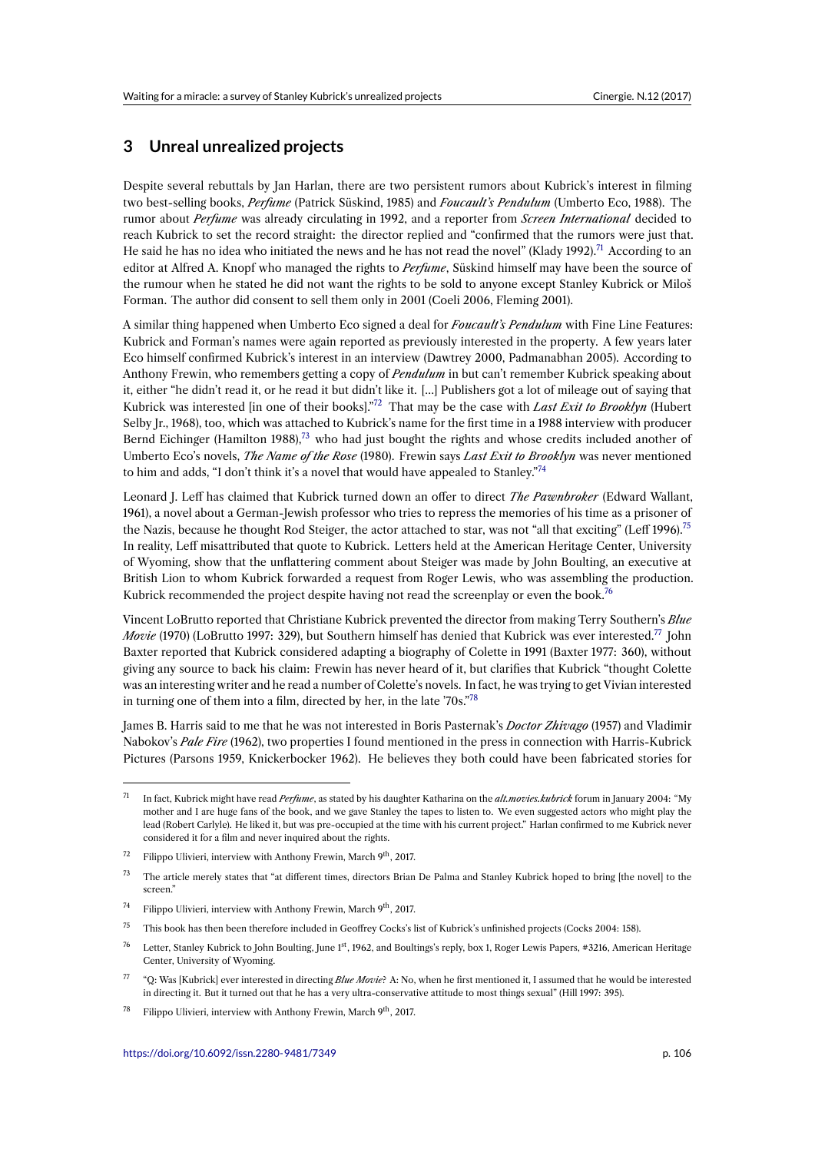# **3 Unreal unrealized projects**

Despite several rebuttals by Jan Harlan, there are two persistent rumors about Kubrick's interest in filming two best-selling books, *Perfume* (Patrick Süskind, 1985) and *Foucault's Pendulum* (Umberto Eco, 1988). The rumor about *Perfume* was already circulating in 1992, and a reporter from *Screen International* decided to reach Kubrick to set the record straight: the director replied and "confirmed that the rumors were just that. He said he has no idea who initiated the news and he has not read the novel" (Klady 1992).<sup>71</sup> According to an editor at Alfred A. Knopf who managed the rights to *Perfume*, Süskind himself may have been the source of the rumour when he stated he did not want the rights to be sold to anyone except Stanley Kubrick or Miloš Forman. The author did consent to sell them only in 2001 (Coeli 2006, Fleming 2001).

A similar thing happened when Umberto Eco signed a deal for *Foucault's Pendulum* with [Fin](#page-11-0)e Line Features: Kubrick and Forman's names were again reported as previously interested in the property. A few years later Eco himself confirmed Kubrick's interest in an interview (Dawtrey 2000, Padmanabhan 2005). According to Anthony Frewin, who remembers getting a copy of *Pendulum* in but can't remember Kubrick speaking about it, either "he didn't read it, or he read it but didn't like it. […] Publishers got a lot of mileage out of saying that Kubrick was interested [in one of their books]."<sup>72</sup> That may be the case with *Last Exit to Brooklyn* (Hubert Selby Jr., 1968), too, which was attached to Kubrick's name for the first time in a 1988 interview with producer Bernd Eichinger (Hamilton 1988), $^{73}$  who had just bought the rights and whose credits included another of Umberto Eco's novels, *The Name of the Rose* (1980). Frewin says *Last Exit to Brooklyn* was never mentioned to him and adds, "I don't think it's a novel that [wo](#page-11-1)uld have appealed to Stanley."<sup>74</sup>

Leonard J. Leff has claimed that [Ku](#page-11-2)brick turned down an offer to direct *The Pawnbroker* (Edward Wallant, 1961), a novel about a German-Jewish professor who tries to repress the memories of his time as a prisoner of theNazis, because he thought Rod Steiger, the actor attached to star, was not "[all](#page-11-3) that exciting" (Leff 1996).<sup>75</sup> In reality, Leff misattributed that quote to Kubrick. Letters held at the American Heritage Center, University of Wyoming, show that the unflattering comment about Steiger was made by John Boulting, an executive at British Lion to whom Kubrick forwarded a request from Roger Lewis, who was assembling the production. Kubrick recommended the project despite having not read the screenplay or even the book.<sup>76</sup>

Vincent LoBrutto reported that Christiane Kubrick prevented the director from making Terry Southern's *Blue Movie* (1970) (LoBrutto 1997: 329), but Southern himself has denied that Kubrick was ever interested.<sup>77</sup> John Baxter reported that Kubrick considered adapting a biography of Colette in 1991 (Baxter 19[77](#page-11-4): 360), without giving any source to back his claim: Frewin has never heard of it, but clarifies that Kubrick "thought Colette was an interesting writer and he read a number of Colette's novels. In fact, he was trying to get Vivian interested in turning one of them into a film, directed by her, in the late '70s."<sup>78</sup>

James B. Harris said to me that he was not interested in Boris Pasternak's *Doctor Zhivago* (1957) and Vladimir Nabokov's *Pale Fire* (1962), two properties I found mentioned in the press in connection with Harris-Kubrick Pictures (Parsons 1959, Knickerbocker 1962). He believes they b[ot](#page-11-5)h could have been fabricated stories for

- <sup>74</sup> Filippo Ulivieri, interview with Anthony Frewin, March 9<sup>th</sup>, 2017.
- <span id="page-11-1"></span><sup>75</sup> This book has then been therefore included in Geoffrey Cocks's list of Kubrick's unfinished projects (Cocks 2004: 158).
- <span id="page-11-2"></span>Letter, Stanley Kubrick to John Boulting, June 1st, 1962, and Boultings's reply, box 1, Roger Lewis Papers, #3216, American Heritage Center, University of Wyoming.
- <span id="page-11-3"></span><sup>77</sup> "Q: Was [Kubrick] ever interested in directing *Blue Movie*? A: No, when he first mentioned it, I assumed that he would be interested in directing it. But it turned out that he has a very ultra-conservative attitude to most things sexual" (Hill 1997: 395).
- <span id="page-11-5"></span><span id="page-11-4"></span><sup>78</sup> Filippo Ulivieri, interview with Anthony Frewin, March  $9^{th}$ , 2017.

<sup>71</sup> In fact, Kubrick might have read *Perfume*, as stated by his daughter Katharina on the *alt.movies.kubrick* forum in January 2004: "My mother and I are huge fans of the book, and we gave Stanley the tapes to listen to. We even suggested actors who might play the lead (Robert Carlyle). He liked it, but was pre-occupied at the time with his current project." Harlan confirmed to me Kubrick never considered it for a film and never inquired about the rights.

<span id="page-11-0"></span><sup>&</sup>lt;sup>72</sup> Filippo Ulivieri, interview with Anthony Frewin, March 9<sup>th</sup>, 2017.

<sup>&</sup>lt;sup>73</sup> The article merely states that "at different times, directors Brian De Palma and Stanley Kubrick hoped to bring [the novel] to the screen."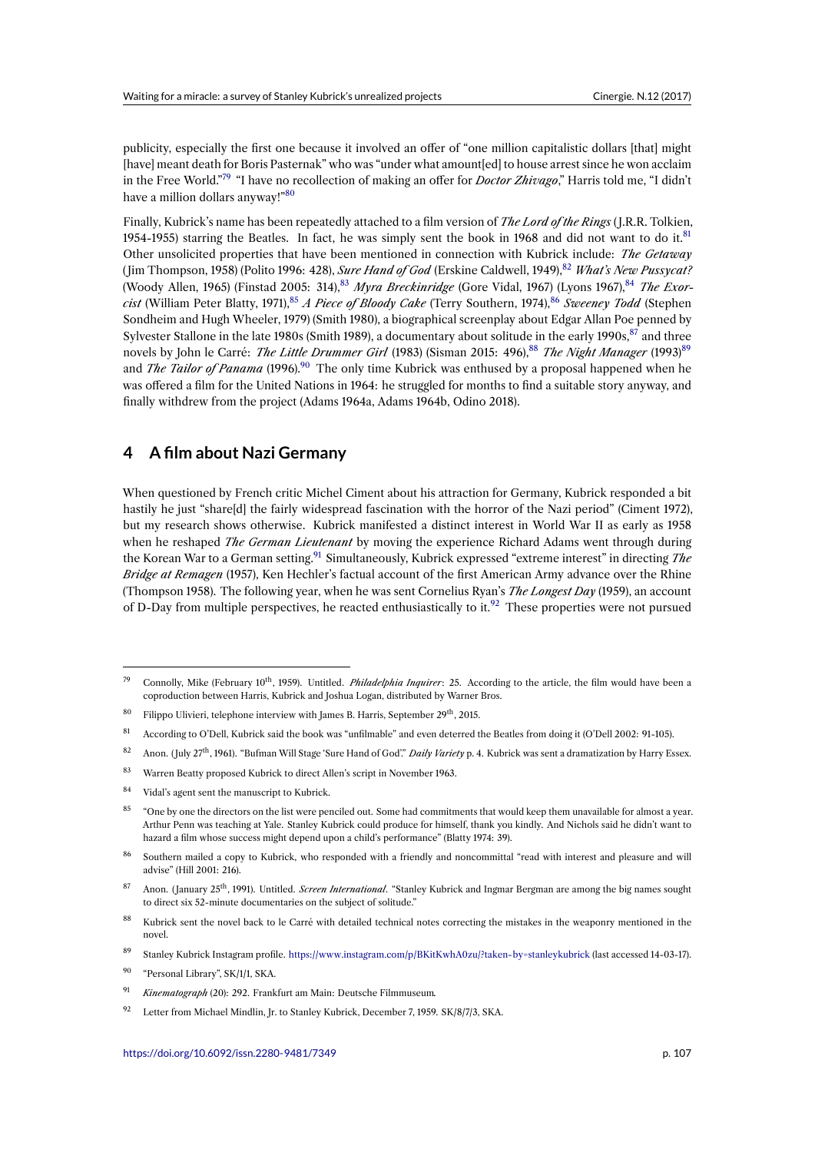publicity, especially the first one because it involved an offer of "one million capitalistic dollars [that] might [have] meant death for Boris Pasternak" who was "under what amount[ed] to house arrest since he won acclaim in the Free World."<sup>79</sup> "I have no recollection of making an offer for *Doctor Zhivago*," Harris told me, "I didn't have a million dollars anyway!"<sup>80</sup>

Finally, Kubrick's name has been repeatedly attached to a film version of *The Lord of the Rings* ( J.R.R. Tolkien, 1954-1955) starring [th](#page-12-0)e Beatles. In fact, he was simply sent the book in 1968 and did not want to do it.<sup>81</sup> Other unsolicited properties t[hat](#page-12-1) have been mentioned in connection with Kubrick include: *The Getaway* ( Jim Thompson, 1958) (Polito 1996: 428), *Sure Hand of God* (Erskine Caldwell, 1949),<sup>82</sup> *What's New Pussycat?* (Woody Allen, 1965) (Finstad 2005: 314),<sup>83</sup> *Myra Breckinridge* (Gore Vidal, 1967) (Lyons 1967), <sup>84</sup> *The Exorcist* (William Peter Blatty, 1971),<sup>85</sup> *A Piece of Bloody Cake* (Terry Southern, 1974),<sup>86</sup> *Sweeney Todd* (Steph[en](#page-12-2) Sondheim and Hugh Wheeler, 1979) (Smith 1980), a biographical screenplay about Edgar Allan Poe penned by Sylvester Stallone in the late 1980s (Smith 1989), a documentary about solitude in th[e e](#page-12-3)arly 1990s, $^{87}$  and three novels by John le Carré: *The Little Dru[mm](#page-12-4)er Girl* (1983) (Sisman 2015: 496),<sup>88</sup> *The Night Man[ag](#page-12-5)er* (1993)<sup>89</sup> and *The Tailor of Panama* (199[6\).](#page-12-6)<sup>90</sup> The only time Kubrick was enthused by a p[rop](#page-12-7)osal happened when he was offered a film for the United Nations in 1964: he struggled for months to find a suitable story anyway, and finally withdrew from the project (Adams 1964a, Adams 1964b, Odino 2018).

### **4 A film about Nazi Germany**

When questioned by French critic Michel Ciment about his attraction for Germany, Kubrick responded a bit hastily he just "share[d] the fairly widespread fascination with the horror of the Nazi period" (Ciment 1972), but my research shows otherwise. Kubrick manifested a distinct interest in World War II as early as 1958 when he reshaped *The German Lieutenant* by moving the experience Richard Adams went through during the Korean War to a German setting.<sup>91</sup> Simultaneously, Kubrick expressed "extreme interest" in directing *The Bridge at Remagen* (1957), Ken Hechler's factual account of the first American Army advance over the Rhine (Thompson 1958). The following year, when he was sent Cornelius Ryan's *The Longest Day* (1959), an account of D-Day from multiple perspectives, he reacted enthusiastically to it.<sup>92</sup> These properties were not pursued

- <sup>81</sup> According to O'Dell, Kubrick said the book was "unfilmable" and even deterred the Beatles from doing it (O'Dell 2002: 91-105).
- <span id="page-12-0"></span><sup>82</sup> Anon. ( July 27th, 1961). "Bufman Will Stage 'Sure Hand of God'." *Daily Variety* p. 4. Kubrick was sent a dramatization by Harry Essex.
- <span id="page-12-1"></span><sup>83</sup> Warren Beatty proposed Kubrick to direct Allen's script in November 1963.
- <span id="page-12-2"></span>84 Vidal's agent sent the manuscript to Kubrick.
- <span id="page-12-3"></span><sup>85</sup> "One by one the directors on the list were penciled out. Some had commitments that would keep them unavailable for almost a year. Arthur Penn was teaching at Yale. Stanley Kubrick could produce for himself, thank you kindly. And Nichols said he didn't want to hazard a film whose success might depend upon a child's performance" (Blatty 1974: 39).
- <span id="page-12-5"></span><span id="page-12-4"></span>86 Southern mailed a copy to Kubrick, who responded with a friendly and noncommittal "read with interest and pleasure and will advise" (Hill 2001: 216).

- <sup>90</sup> "Personal Library", SK/1/1, SKA.
- <sup>91</sup> *Kinematograph* (20): 292. Frankfurt am Main: Deutsche Filmmuseum*.*
- 92 Letter from Michael Mindlin, Jr. to Stanley Kubrick, December 7, 1959. SK/8/7/3, SKA.

<sup>&</sup>lt;sup>79</sup> Connolly, Mike (February 10<sup>th</sup>, 1959). Untitled. *Philadelphia Inquirer*: 25. According to the article, the film would have been a coproduction between Harris, Kubrick and Joshua Logan, distributed by Warner Bros.

 $80$  Filippo Ulivieri, telephone interview with James B. Harris, September  $29<sup>th</sup>$ , 2015.

<span id="page-12-6"></span><sup>87</sup> Anon. ( January 25th, 1991). Untitled. *Screen International*. "Stanley Kubrick and Ingmar Bergman are among the big names sought to direct six 52-minute documentaries on the subject of solitude."

<span id="page-12-7"></span><sup>&</sup>lt;sup>88</sup> Kubrick sent the novel back to le Carré with detailed technical notes correcting the mistakes in the weaponry mentioned in the novel.

<sup>89</sup> Stanley Kubrick Instagram profile. https://www.instagram.com/p/BKitKwhA0zu/?taken-by=stanleykubrick (last accessed 14-03-17).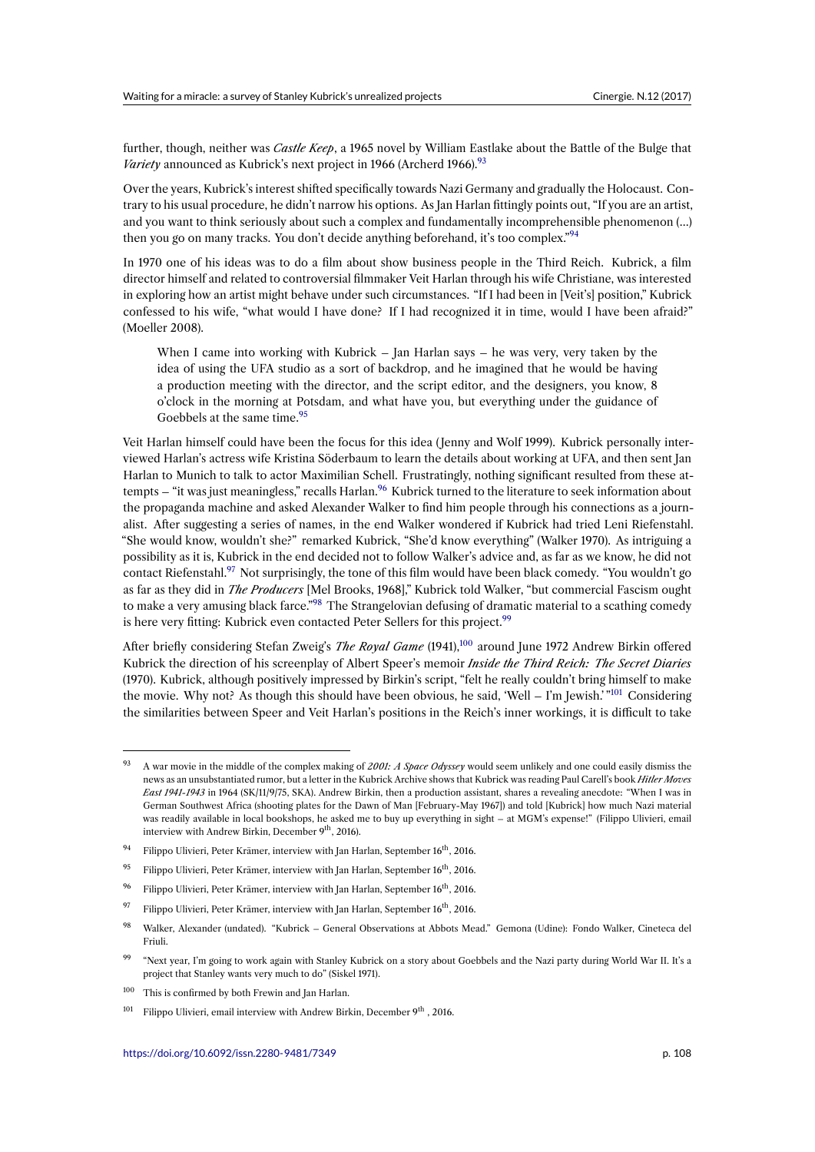further, though, neither was *Castle Keep*, a 1965 novel by William Eastlake about the Battle of the Bulge that *Variety* announced as Kubrick's next project in 1966 (Archerd 1966).<sup>93</sup>

Over the years, Kubrick's interest shifted specifically towards Nazi Germany and gradually the Holocaust. Contrary to his usual procedure, he didn't narrow his options. As Jan Harlan fittingly points out, "If you are an artist, and you want to think seriously about such a complex and fundame[nta](#page-13-0)lly incomprehensible phenomenon (…) then you go on many tracks. You don't decide anything beforehand, it's too complex."<sup>94</sup>

In 1970 one of his ideas was to do a film about show business people in the Third Reich. Kubrick, a film director himself and related to controversial filmmaker Veit Harlan through his wife Christiane, was interested in exploring how an artist might behave under such circumstances. "If I had been in [[Vei](#page-13-1)t's] position," Kubrick confessed to his wife, "what would I have done? If I had recognized it in time, would I have been afraid?" (Moeller 2008).

When I came into working with Kubrick – Jan Harlan says – he was very, very taken by the idea of using the UFA studio as a sort of backdrop, and he imagined that he would be having a production meeting with the director, and the script editor, and the designers, you know, 8 o'clock in the morning at Potsdam, and what have you, but everything under the guidance of Goebbels at the same time.<sup>95</sup>

Veit Harlan himself could have been the focus for this idea ( Jenny and Wolf 1999). Kubrick personally interviewed Harlan's actress wife Kristina Söderbaum to learn the details about working at UFA, and then sent Jan Harlan to Munich to talk to actor [M](#page-13-2)aximilian Schell. Frustratingly, nothing significant resulted from these attempts – "it was just meaningless," recalls Harlan.<sup>96</sup> Kubrick turned to the literature to seek information about the propaganda machine and asked Alexander Walker to find him people through his connections as a journalist. After suggesting a series of names, in the end Walker wondered if Kubrick had tried Leni Riefenstahl. "She would know, wouldn't she?" remarked Kubrick, "She'd know everything" (Walker 1970). As intriguing a possibility as it is, Kubrick in the end decided no[t to](#page-13-3) follow Walker's advice and, as far as we know, he did not contact Riefenstahl.<sup>97</sup> Not surprisingly, the tone of this film would have been black comedy. "You wouldn't go as far as they did in *The Producers* [Mel Brooks, 1968]," Kubrick told Walker, "but commercial Fascism ought to make a very amusing black farce."<sup>98</sup> The Strangelovian defusing of dramatic material to a scathing comedy is here very fitting: Kubrick even contacted Peter Sellers for this project.<sup>99</sup>

Aft[er](#page-13-4) briefly considering Stefan Zweig's The Royal Game (1941),<sup>100</sup> around June 1972 Andrew Birkin offered Kubrick the direction of his screen[pla](#page-13-5)y of Albert Speer's memoir *Inside the Third Reich: The Secret Diaries* (1970). Kubrick, although positively impressed by Birkin's script, "felt he [rea](#page-13-6)lly couldn't bring himself to make the movie. Why not? As though this should have been obvious, he said, 'Well – I'm Jewish.' "<sup>101</sup> Considering the similarities between Speer and Veit Harlan's positions in th[e Re](#page-13-7)ich's inner workings, it is difficult to take

<sup>93</sup> A war movie in the middle of the complex making of *2001: A Space Odyssey* would seem unlikely and one cou[ld e](#page-13-8)asily dismiss the news as an unsubstantiated rumor, but a letter in the Kubrick Archive shows that Kubrick was reading Paul Carell's book *Hitler Moves East 1941-1943* in 1964 (SK/11/9/75, SKA). Andrew Birkin, then a production assistant, shares a revealing anecdote: "When I was in German Southwest Africa (shooting plates for the Dawn of Man [February-May 1967]) and told [Kubrick] how much Nazi material was readily available in local bookshops, he asked me to buy up everything in sight – at MGM's expense!" (Filippo Ulivieri, email interview with Andrew Birkin, December 9<sup>th</sup>, 2016).

<span id="page-13-0"></span><sup>&</sup>lt;sup>94</sup> Filippo Ulivieri, Peter Krämer, interview with Jan Harlan, September 16<sup>th</sup>, 2016.

<sup>&</sup>lt;sup>95</sup> Filippo Ulivieri, Peter Krämer, interview with Jan Harlan, September  $16<sup>th</sup>$ , 2016.

<sup>&</sup>lt;sup>96</sup> Filippo Ulivieri, Peter Krämer, interview with Jan Harlan, September 16<sup>th</sup>, 2016.

<span id="page-13-1"></span><sup>&</sup>lt;sup>97</sup> Filippo Ulivieri, Peter Krämer, interview with Jan Harlan, September 16<sup>th</sup>, 2016.

<span id="page-13-2"></span><sup>98</sup> Walker, Alexander (undated). "Kubrick – General Observations at Abbots Mead." Gemona (Udine): Fondo Walker, Cineteca del Friuli.

<span id="page-13-4"></span><span id="page-13-3"></span><sup>&</sup>lt;sup>99</sup> "Next year, I'm going to work again with Stanley Kubrick on a story about Goebbels and the Nazi party during World War II. It's a project that Stanley wants very much to do" (Siskel 1971).

<span id="page-13-5"></span><sup>&</sup>lt;sup>100</sup> This is confirmed by both Frewin and Jan Harlan.

<span id="page-13-8"></span><span id="page-13-7"></span><span id="page-13-6"></span><sup>&</sup>lt;sup>101</sup> Filippo Ulivieri, email interview with Andrew Birkin, December  $9<sup>th</sup>$ , 2016.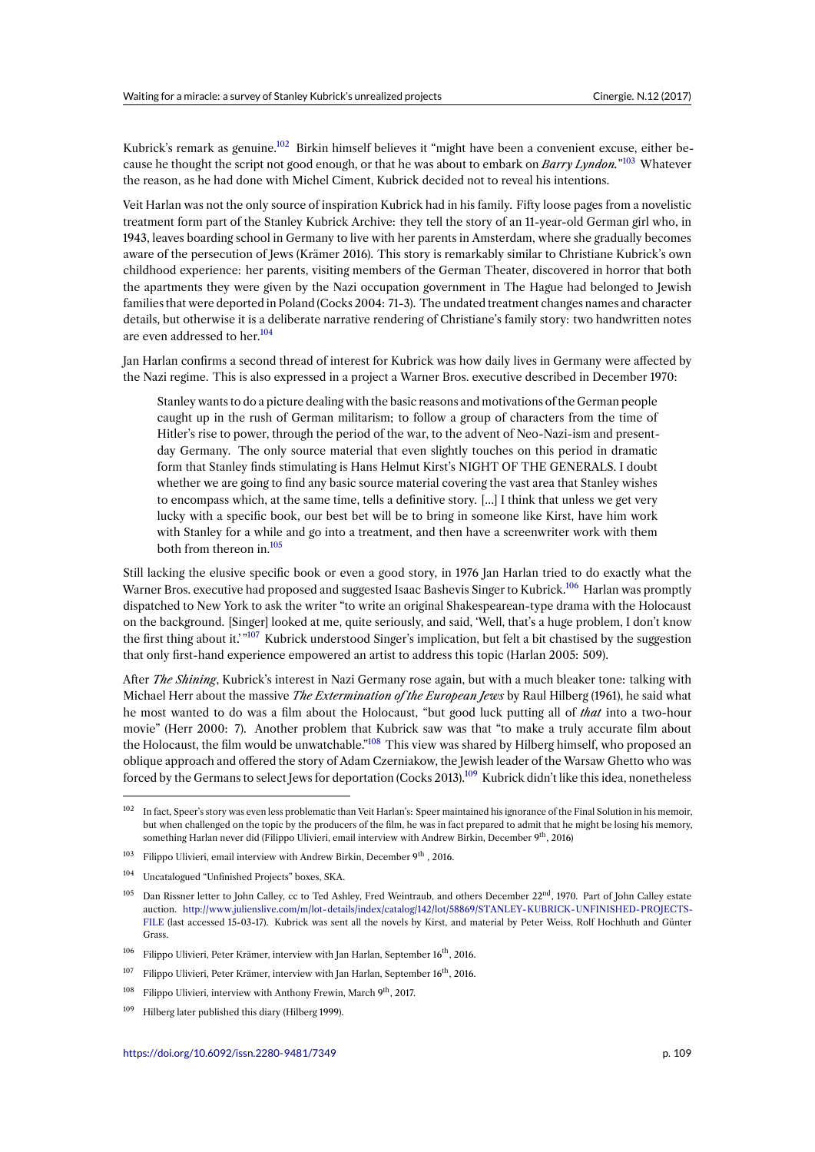Kubrick's remark as genuine.<sup>102</sup> Birkin himself believes it "might have been a convenient excuse, either because he thought the script not good enough, or that he was about to embark on *Barry Lyndon.*" <sup>103</sup> Whatever the reason, as he had done with Michel Ciment, Kubrick decided not to reveal his intentions.

Veit Harlan was not the onlys[ou](#page-14-0)rce of inspiration Kubrick had in his family. Fifty loose pages from a novelistic treatment form part of the Stanley Kubrick Archive: they tell the story of an 11-year-old Germa[n g](#page-14-1)irl who, in 1943, leaves boarding school in Germany to live with her parents in Amsterdam, where she gradually becomes aware of the persecution of Jews (Krämer 2016). This story is remarkably similar to Christiane Kubrick's own childhood experience: her parents, visiting members of the German Theater, discovered in horror that both the apartments they were given by the Nazi occupation government in The Hague had belonged to Jewish families that were deported in Poland (Cocks 2004: 71-3). The undated treatment changes names and character details, but otherwise it is a deliberate narrative rendering of Christiane's family story: two handwritten notes are even addressed to her.<sup>104</sup>

Jan Harlan confirms a second thread of interest for Kubrick was how daily lives in Germany were affected by the Nazi regime. This is also expressed in a project a Warner Bros. executive described in December 1970:

Stanley wants to do [a p](#page-14-2)icture dealing with the basic reasons and motivations of the German people caught up in the rush of German militarism; to follow a group of characters from the time of Hitler's rise to power, through the period of the war, to the advent of Neo-Nazi-ism and presentday Germany. The only source material that even slightly touches on this period in dramatic form that Stanley finds stimulating is Hans Helmut Kirst's NIGHT OF THE GENERALS. I doubt whether we are going to find any basic source material covering the vast area that Stanley wishes to encompass which, at the same time, tells a definitive story. […] I think that unless we get very lucky with a specific book, our best bet will be to bring in someone like Kirst, have him work with Stanley for a while and go into a treatment, and then have a screenwriter work with them both from thereon in.<sup>105</sup>

Still lacking the elusive specific book or even a good story, in 1976 Jan Harlan tried to do exactly what the Warner Bros. executive had proposed and suggested Isaac Bashevis Singer to Kubrick.<sup>106</sup> Harlan was promptly dispatched to New York to [ask](#page-14-3) the writer "to write an original Shakespearean-type drama with the Holocaust on the background. [Singer] looked at me, quite seriously, and said, 'Well, that's a huge problem, I don't know the first thing about it.'<sup>"107</sup> Kubrick understood Singer's implication, but felt a bit chastised by the suggestion that only first-hand experience empowered an artist to address this topic (Harlan 20[05:](#page-14-4) 509).

After *The Shining*, Kubrick's interest in Nazi Germany rose again, but with a much bleaker tone: talking with Michael Herr about the [ma](#page-14-5)ssive *The Extermination of the European Jews* by Raul Hilberg (1961), he said what he most wanted to do was a film about the Holocaust, "but good luck putting all of *that* into a two-hour movie" (Herr 2000: 7). Another problem that Kubrick saw was that "to make a truly accurate film about the Holocaust, the film would be unwatchable."<sup>108</sup> This view was shared by Hilberg himself, who proposed an oblique approach and offered the story of Adam Czerniakow, the Jewish leader of the Warsaw Ghetto who was forced by the Germans to select Jews for deportation (Cocks 2013).<sup>109</sup> Kubrick didn't like this idea, nonetheless

- <span id="page-14-3"></span><span id="page-14-2"></span><sup>106</sup> Filippo Ulivieri, Peter Krämer, interview with Jan Harlan, September 16<sup>th</sup>, 2016.
- <sup>107</sup> Filippo U[livieri, Peter Krämer, interview with Jan Harlan, September 16](http://www.julienslive.com/m/lot-details/index/catalog/142/lot/58869/STANLEY-KUBRICK-UNFINISHED-PROJECTS-FILE)<sup>th</sup>, 2016.
- <sup>108</sup> [Filipp](http://www.julienslive.com/m/lot-details/index/catalog/142/lot/58869/STANLEY-KUBRICK-UNFINISHED-PROJECTS-FILE)o Ulivieri, interview with Anthony Frewin, March  $9<sup>th</sup>$ , 2017.
- <span id="page-14-7"></span><span id="page-14-6"></span><span id="page-14-5"></span><span id="page-14-4"></span><sup>109</sup> Hilberg later published this diary (Hilberg 1999).

<sup>&</sup>lt;sup>102</sup> In fact, Speer's story was even less problematic than V[eit H](#page-14-6)arlan's: Speer maintained his ignorance of the Final Solution in his memoir, but when challenged on the topic by the producers of the film, he was in fact prepared to admit that he might be losing his memory, something Harlan never did (Filippo Ulivieri, email interview with Andrew B[irki](#page-14-7)n, December 9<sup>th</sup>, 2016)

 $103$  Filippo Ulivieri, email interview with Andrew Birkin, December 9<sup>th</sup>, 2016.

<span id="page-14-0"></span><sup>104</sup> Uncatalogued "Unfinished Projects" boxes, SKA.

<span id="page-14-1"></span><sup>&</sup>lt;sup>105</sup> Dan Rissner letter to John Calley, cc to Ted Ashley, Fred Weintraub, and others December 22<sup>nd</sup>, 1970. Part of John Calley estate auction. http://www.julienslive.com/m/lot-details/index/catalog/142/lot/58869/STANLEY-KUBRICK-UNFINISHED-PROJECTS-FILE (last accessed 15-03-17). Kubrick was sent all the novels by Kirst, and material by Peter Weiss, Rolf Hochhuth and Günter Grass.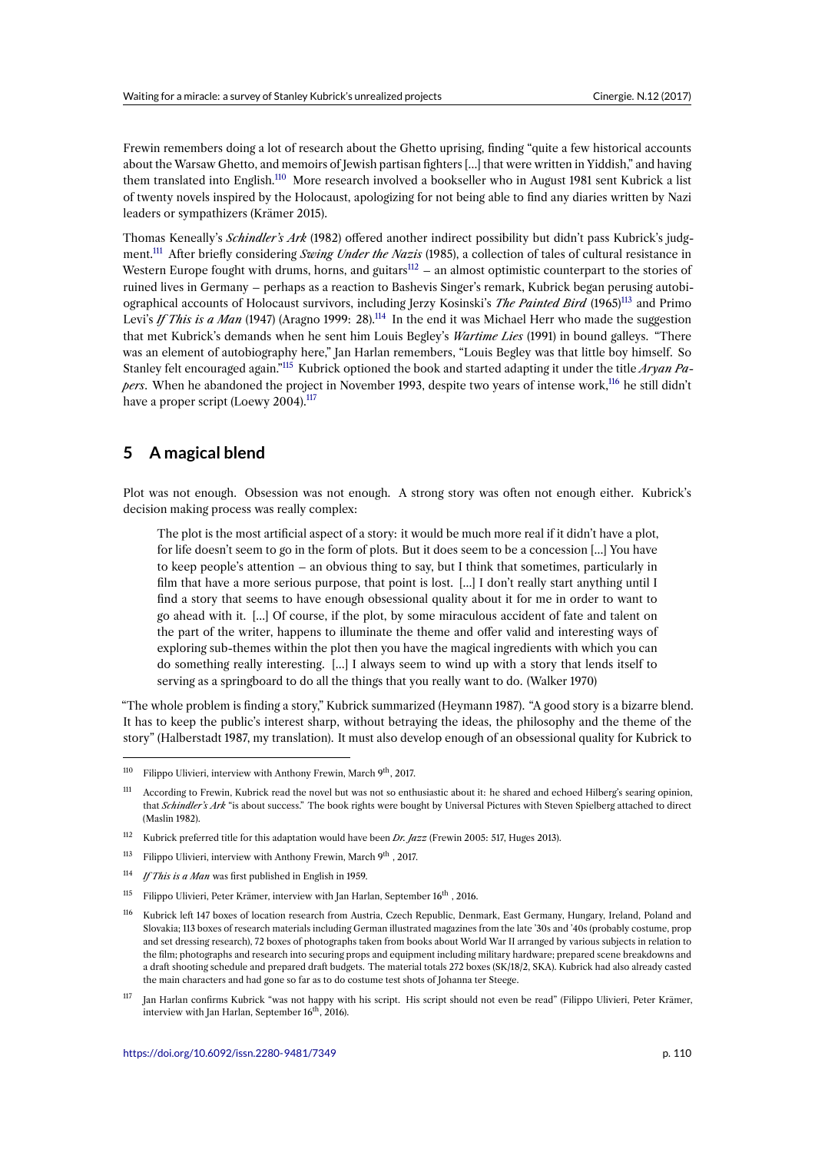Frewin remembers doing a lot of research about the Ghetto uprising, finding "quite a few historical accounts about the Warsaw Ghetto, and memoirs of Jewish partisan fighters […] that were written in Yiddish," and having them translated into English.<sup>110</sup> More research involved a bookseller who in August 1981 sent Kubrick a list of twenty novels inspired by the Holocaust, apologizing for not being able to find any diaries written by Nazi leaders or sympathizers (Krämer 2015).

Thomas Keneally's *Schindle[r's](#page-15-0) Ark* (1982) offered another indirect possibility but didn't pass Kubrick's judgment.<sup>111</sup> After briefly considering *Swing Under the Nazis* (1985), a collection of tales of cultural resistance in Western Europe fought with drums, horns, and guitars $112 -$  an almost optimistic counterpart to the stories of ruined lives in Germany – perhaps as a reaction to Bashevis Singer's remark, Kubrick began perusing autobiographical accounts of Holocaust survivors, including Jerzy Kosinski's *The Painted Bird* (1965)<sup>113</sup> and Primo Levi's *[If](#page-15-1) This is a Man* (1947) (Aragno 1999: 28).<sup>114</sup> In the end it was Michael Herr who made the suggestion that met Kubrick's demands when he sent him Louis [Be](#page-15-2)gley's *Wartime Lies* (1991) in bound galleys. "There was an element of autobiography here," Jan Harlan remembers, "Louis Begley was that little boy himself. So Stanley felt encouraged again."<sup>115</sup> Kubrick optioned the book and started adapting it under thet[itle](#page-15-3) *Aryan Papers*. When he abandoned the project in Nove[mbe](#page-15-4)r 1993, despite two years of intense work,<sup>116</sup> he still didn't have a proper script (Loewy 2004).<sup>117</sup>

# **5 A magical blend**

Plot was not enough. Obsession was not enough. A strong story was often not enough either. Kubrick's decision making process was really complex:

The plot is the most artificial aspect of a story: it would be much more real if it didn't have a plot, for life doesn't seem to go in the form of plots. But it does seem to be a concession […] You have to keep people's attention – an obvious thing to say, but I think that sometimes, particularly in film that have a more serious purpose, that point is lost. […] I don't really start anything until I find a story that seems to have enough obsessional quality about it for me in order to want to go ahead with it. […] Of course, if the plot, by some miraculous accident of fate and talent on the part of the writer, happens to illuminate the theme and offer valid and interesting ways of exploring sub-themes within the plot then you have the magical ingredients with which you can do something really interesting. […] I always seem to wind up with a story that lends itself to serving as a springboard to do all the things that you really want to do. (Walker 1970)

"The whole problem is finding a story," Kubrick summarized (Heymann 1987). "A good story is a bizarre blend. It has to keep the public's interest sharp, without betraying the ideas, the philosophy and the theme of the story" (Halberstadt 1987, my translation). It must also develop enough of an obsessional quality for Kubrick to

 $110$  Filippo Ulivieri, interview with Anthony Frewin, March 9<sup>th</sup>, 2017.

<sup>&</sup>lt;sup>111</sup> According to Frewin, Kubrick read the novel but was not so enthusiastic about it: he shared and echoed Hilberg's searing opinion, that *Schindler's Ark* "is about success." The book rights were bought by Universal Pictures with Steven Spielberg attached to direct (Maslin 1982).

<span id="page-15-0"></span><sup>112</sup> Kubrick preferred title for this adaptation would have been *Dr. Jazz* (Frewin 2005: 517, Huges 2013).

<span id="page-15-1"></span><sup>&</sup>lt;sup>113</sup> Filippo Ulivieri, interview with Anthony Frewin, March 9<sup>th</sup>, 2017.

<sup>114</sup> *If This is a Man* was first published in English in 1959.

<span id="page-15-2"></span><sup>&</sup>lt;sup>115</sup> Filippo Ulivieri, Peter Krämer, interview with Jan Harlan, September 16<sup>th</sup>, 2016.

<span id="page-15-4"></span><span id="page-15-3"></span><sup>116</sup> Kubrick left 147 boxes of location research from Austria, Czech Republic, Denmark, East Germany, Hungary, Ireland, Poland and Slovakia; 113 boxes of research materials including German illustrated magazines from the late '30s and '40s (probably costume, prop and set dressing research), 72 boxes of photographs taken from books about World War II arranged by various subjects in relation to the film; photographs and research into securing props and equipment including military hardware; prepared scene breakdowns and a draft shooting schedule and prepared draft budgets. The material totals 272 boxes (SK/18/2, SKA). Kubrick had also already casted the main characters and had gone so far as to do costume test shots of Johanna ter Steege.

<sup>117</sup> Jan Harlan confirms Kubrick "was not happy with his script. His script should not even be read" (Filippo Ulivieri, Peter Krämer, interview with Jan Harlan, September  $16<sup>th</sup>$ , 2016).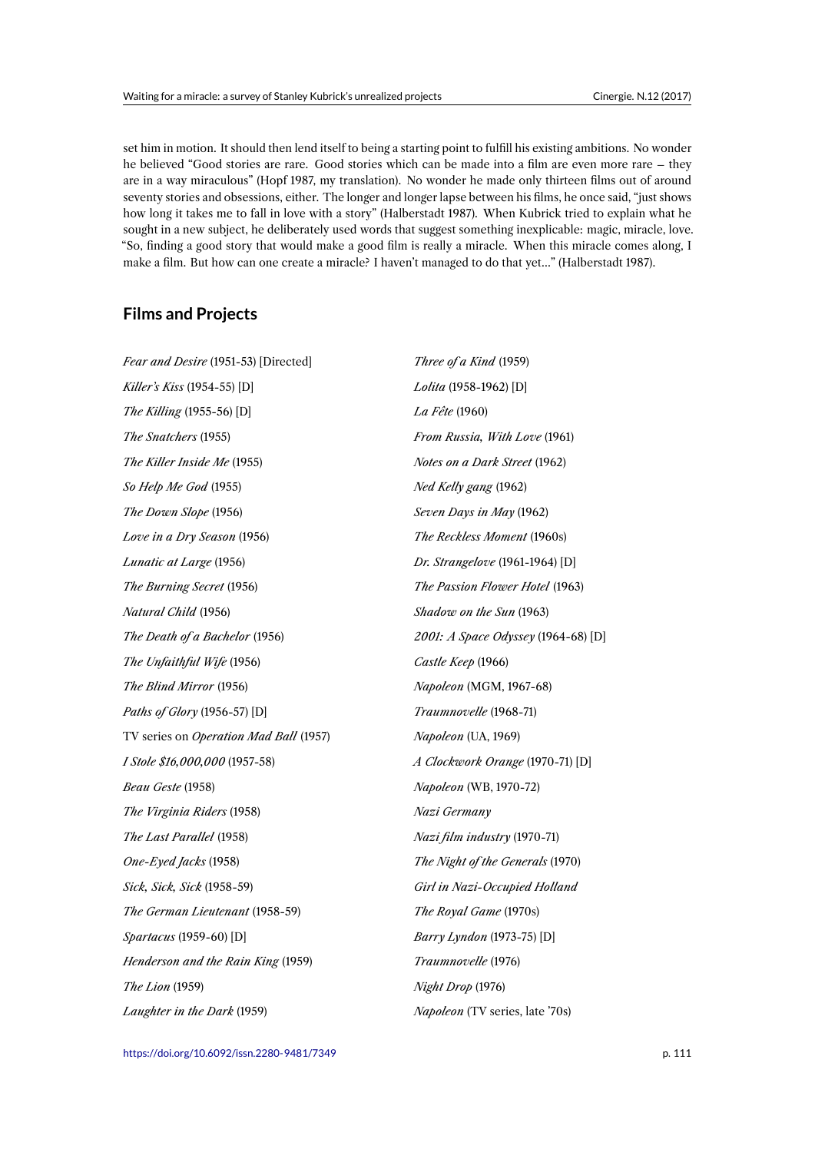set him in motion. It should then lend itself to being a starting point to fulfill his existing ambitions. No wonder he believed "Good stories are rare. Good stories which can be made into a film are even more rare – they are in a way miraculous" (Hopf 1987, my translation). No wonder he made only thirteen films out of around seventy stories and obsessions, either. The longer and longer lapse between his films, he once said, "just shows how long it takes me to fall in love with a story" (Halberstadt 1987). When Kubrick tried to explain what he sought in a new subject, he deliberately used words that suggest something inexplicable: magic, miracle, love. "So, finding a good story that would make a good film is really a miracle. When this miracle comes along, I make a film. But how can one create a miracle? I haven't managed to do that yet…" (Halberstadt 1987).

# **Films and Projects**

| Fear and Desire (1951-53) [Directed]   | Three of a Kind (1959)              |
|----------------------------------------|-------------------------------------|
| Killer's Kiss (1954-55) [D]            | Lolita (1958-1962) [D]              |
| The Killing (1955-56) [D]              | La Fête (1960)                      |
| The Snatchers (1955)                   | From Russia, With Love (1961)       |
| The Killer Inside Me (1955)            | Notes on a Dark Street (1962)       |
| So Help Me God (1955)                  | Ned Kelly gang (1962)               |
| The Down Slope (1956)                  | Seven Days in May (1962)            |
| Love in a Dry Season (1956)            | The Reckless Moment (1960s)         |
| Lunatic at Large (1956)                | Dr. Strangelove (1961-1964) [D]     |
| The Burning Secret (1956)              | The Passion Flower Hotel (1963)     |
| Natural Child (1956)                   | Shadow on the Sun (1963)            |
| The Death of a Bachelor (1956)         | 2001: A Space Odyssey (1964-68) [D] |
| The Unfaithful Wife (1956)             | Castle Keep (1966)                  |
| The Blind Mirror (1956)                | Napoleon (MGM, 1967-68)             |
| Paths of Glory (1956-57) [D]           | Traumnovelle (1968-71)              |
| TV series on Operation Mad Ball (1957) | Napoleon (UA, 1969)                 |
| I Stole \$16,000,000 (1957-58)         | A Clockwork Orange (1970-71) [D]    |
| Beau Geste (1958)                      | Napoleon (WB, 1970-72)              |
| The Virginia Riders (1958)             | Nazi Germany                        |
| The Last Parallel (1958)               | Nazi film industry (1970-71)        |
| One-Eyed Jacks (1958)                  | The Night of the Generals (1970)    |
| Sick, Sick, Sick (1958-59)             | Girl in Nazi-Occupied Holland       |
| The German Lieutenant (1958-59)        | The Royal Game (1970s)              |
| Spartacus (1959-60) [D]                | Barry Lyndon (1973-75) [D]          |
| Henderson and the Rain King (1959)     | Traumnovelle (1976)                 |
| The Lion (1959)                        | Night Drop (1976)                   |
| Laughter in the Dark (1959)            | Napoleon (TV series, late '70s)     |

https://doi.org/10.6092/issn.2280-9481/7349 p. 111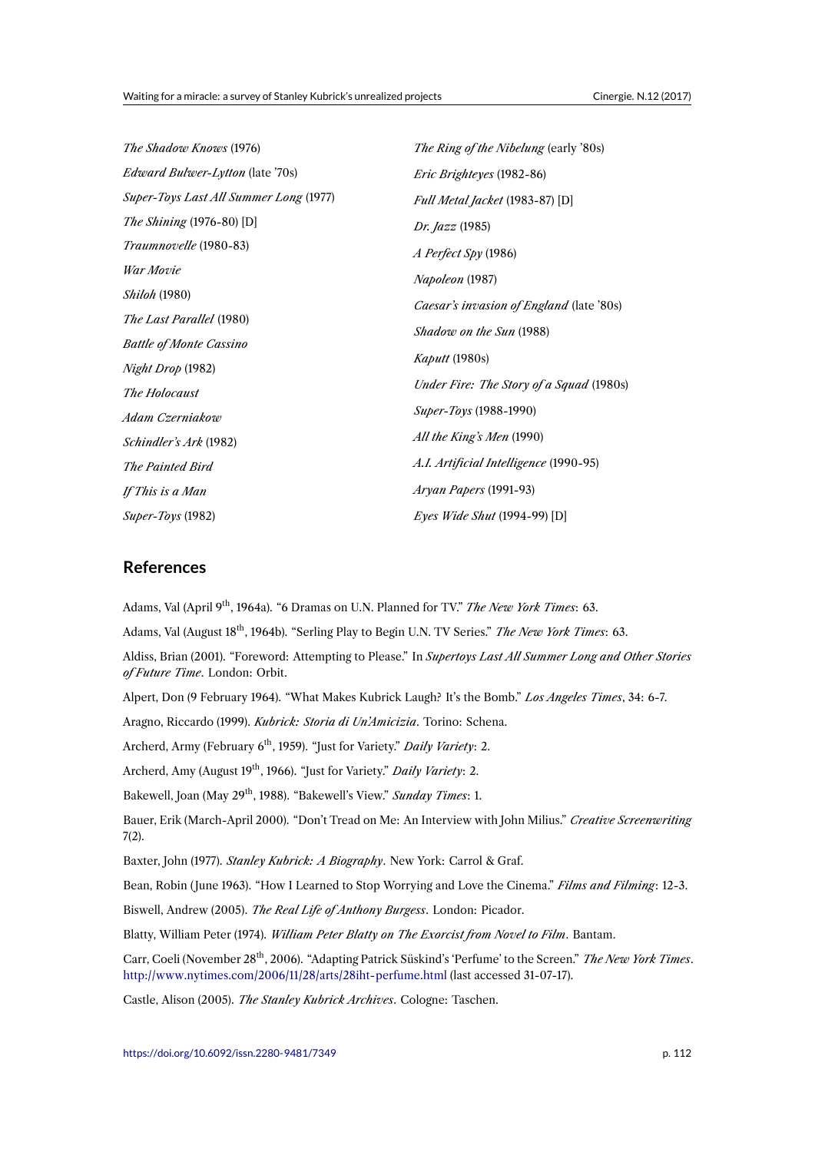| <i>The Ring of the Nibelung</i> (early '80s)    |
|-------------------------------------------------|
| <i>Eric Brighteyes</i> (1982-86)                |
| Full Metal Jacket (1983-87) [D]                 |
| <i>Dr. Jazz</i> (1985)                          |
| <i>A Perfect Spy</i> (1986)                     |
| <i>Napoleon</i> (1987)                          |
| <i>Caesar's invasion of England</i> (late '80s) |
|                                                 |
| <i>Shadow on the Sun</i> (1988)                 |
| Kaputt (1980s)                                  |
| Under Fire: The Story of a Squad (1980s)        |
| <i>Super-Toys</i> (1988-1990)                   |
| All the King's Men (1990)                       |
| A.I. Artificial Intelligence (1990-95)          |
| Aryan Papers (1991-93)                          |
| <i>Eyes Wide Shut</i> (1994-99) [D]             |
|                                                 |

## **References**

Adams, Val (April 9th, 1964a). "6 Dramas on U.N. Planned for TV." *The New York Times*: 63.

Adams, Val (August 18<sup>th</sup>, 1964b). "Serling Play to Begin U.N. TV Series." *The New York Times*: 63.

Aldiss, Brian (2001). "Foreword: Attempting to Please." In *Supertoys Last All Summer Long and Other Stories of Future Time*. London: Orbit.

Alpert, Don (9 February 1964). "What Makes Kubrick Laugh? It's the Bomb." *Los Angeles Times*, 34: 6-7.

Aragno, Riccardo (1999). *Kubrick: Storia di Un'Amicizia*. Torino: Schena.

Archerd, Army (February 6<sup>th</sup>, 1959). "Just for Variety." *Daily Variety*: 2.

Archerd, Amy (August 19<sup>th</sup>, 1966). "Just for Variety." *Daily Variety*: 2.

Bakewell, Joan (May 29th, 1988). "Bakewell's View." *Sunday Times*: 1.

Bauer, Erik (March-April 2000). "Don't Tread on Me: An Interview with John Milius." *Creative Screenwriting* 7(2).

Baxter, John (1977). *Stanley Kubrick: A Biography*. New York: Carrol & Graf.

Bean, Robin ( June 1963). "How I Learned to Stop Worrying and Love the Cinema." *Films and Filming*: 12-3.

Biswell, Andrew (2005). *The Real Life of Anthony Burgess*. London: Picador.

Blatty, William Peter (1974). *William Peter Blatty on The Exorcist from Novel to Film*. Bantam.

Carr, Coeli (November 28<sup>th</sup>, 2006). "Adapting Patrick Süskind's 'Perfume' to the Screen." *The New York Times*. http://www.nytimes.com/2006/11/28/arts/28iht-perfume.html (last accessed 31-07-17).

Castle, Alison (2005). *The Stanley Kubrick Archives*. Cologne: Taschen.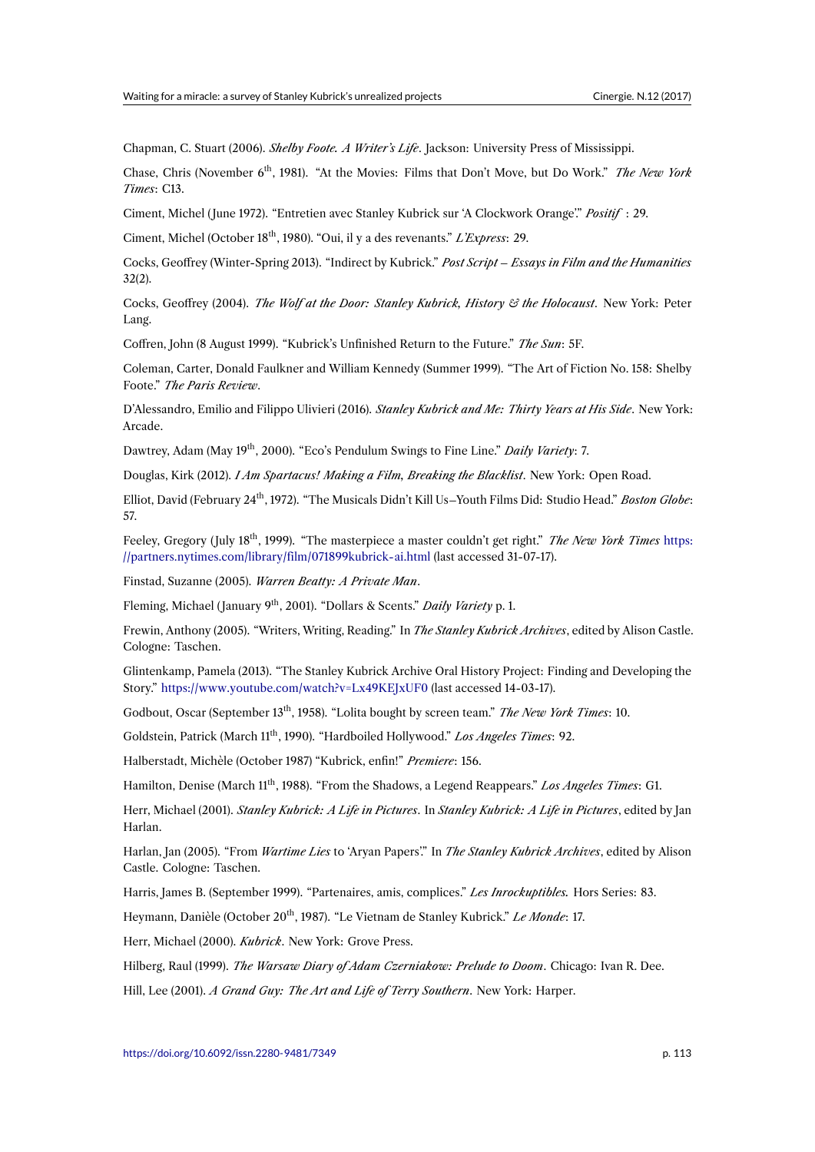Chapman, C. Stuart (2006). *Shelby Foote. A Writer's Life*. Jackson: University Press of Mississippi.

Chase, Chris (November 6th, 1981). "At the Movies: Films that Don't Move, but Do Work." *The New York Times*: C13.

Ciment, Michel ( June 1972). "Entretien avec Stanley Kubrick sur 'A Clockwork Orange'." *Positif* : 29.

Ciment, Michel (October 18th, 1980). "Oui, il y a des revenants." *L'Express*: 29.

Cocks, Geoffrey (Winter-Spring 2013). "Indirect by Kubrick." *Post Script – Essays in Film and the Humanities* 32(2).

Cocks, Geoffrey (2004). *The Wolf at the Door: Stanley Kubrick, History & the Holocaust*. New York: Peter Lang.

Coffren, John (8 August 1999). "Kubrick's Unfinished Return to the Future." *The Sun*: 5F.

Coleman, Carter, Donald Faulkner and William Kennedy (Summer 1999). "The Art of Fiction No. 158: Shelby Foote." *The Paris Review*.

D'Alessandro, Emilio and Filippo Ulivieri (2016). *Stanley Kubrick and Me: Thirty Years at His Side*. New York: Arcade.

Dawtrey, Adam (May 19th, 2000). "Eco's Pendulum Swings to Fine Line." *Daily Variety*: 7.

Douglas, Kirk (2012). *I Am Spartacus! Making a Film, Breaking the Blacklist*. New York: Open Road.

Elliot, David (February 24<sup>th</sup>, 1972). "The Musicals Didn't Kill Us–Youth Films Did: Studio Head." *Boston Globe*: 57.

Feeley, Gregory ( July 18th, 1999). "The masterpiece a master couldn't get right." *The New York Times* https: //partners.nytimes.com/library/film/071899kubrick-ai.html (last accessed 31-07-17).

Finstad, Suzanne (2005). *Warren Beatty: A Private Man*.

Fleming, Michael ( January 9th, 2001). "Dollars & Scents." *Daily Variety* p. 1.

[Frewin, Anthony \(2005\). "Writers, Writing, Reading." In](https://partners.nytimes.com/library/film/071899kubrick-ai.html) *The Stanley Kubrick Archives*, edited by Alison Castle. Cologne: Taschen.

Glintenkamp, Pamela (2013). "The Stanley Kubrick Archive Oral History Project: Finding and Developing the Story." https://www.youtube.com/watch?v=Lx49KEJxUF0 (last accessed 14-03-17).

Godbout, Oscar (September 13<sup>th</sup>, 1958). "Lolita bought by screen team." *The New York Times*: 10.

Goldstein, Patrick (March 11<sup>th</sup>, 1990). "Hardboiled Hollywood." Los Angeles Times: 92.

Halber[stadt, Michèle \(October 1987\) "Kubrick, enfin!"](https://www.youtube.com/watch?v=Lx49KEJxUF0) *Premiere*: 156.

Hamilton, Denise (March 11<sup>th</sup>, 1988). "From the Shadows, a Legend Reappears." *Los Angeles Times*: G1.

Herr, Michael (2001). *Stanley Kubrick: A Life in Pictures*. In *Stanley Kubrick: A Life in Pictures*, edited by Jan Harlan.

Harlan, Jan (2005). "From *Wartime Lies* to 'Aryan Papers'." In *The Stanley Kubrick Archives*, edited by Alison Castle. Cologne: Taschen.

Harris, James B. (September 1999). "Partenaires, amis, complices." *Les Inrockuptibles.* Hors Series: 83.

Heymann, Danièle (October 20<sup>th</sup>, 1987). "Le Vietnam de Stanley Kubrick." *Le Monde*: 17.

Herr, Michael (2000). *Kubrick*. New York: Grove Press.

Hilberg, Raul (1999). *The Warsaw Diary of Adam Czerniakow: Prelude to Doom*. Chicago: Ivan R. Dee.

Hill, Lee (2001). *A Grand Guy: The Art and Life of Terry Southern*. New York: Harper.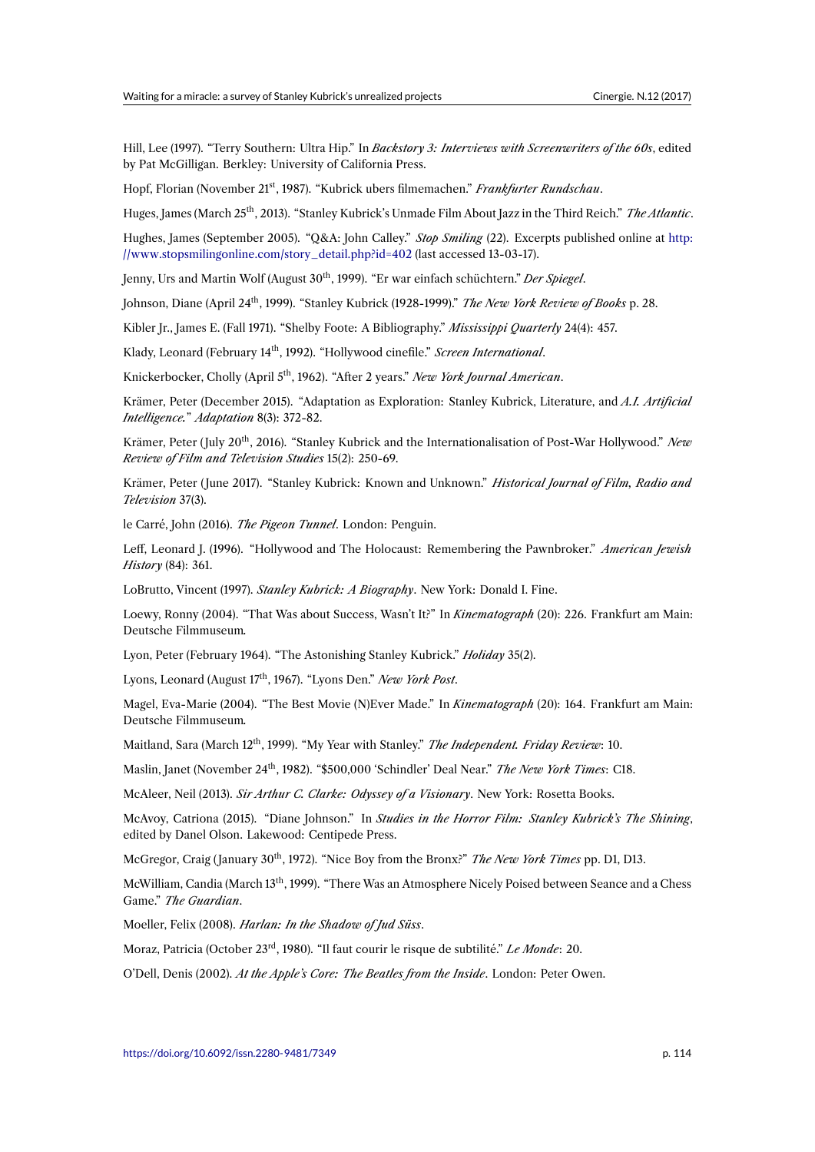Hill, Lee (1997). "Terry Southern: Ultra Hip." In *Backstory 3: Interviews with Screenwriters of the 60s*, edited by Pat McGilligan. Berkley: University of California Press.

Hopf, Florian (November 21st, 1987). "Kubrick ubers filmemachen." *Frankfurter Rundschau*.

Huges, James (March 25th, 2013). "Stanley Kubrick's Unmade Film About Jazz in the Third Reich." *The Atlantic*.

Hughes, James (September 2005). "Q&A: John Calley." *Stop Smiling* (22). Excerpts published online at http: //www.stopsmilingonline.com/story\_detail.php?id=402 (last accessed 13-03-17).

Jenny, Urs and Martin Wolf (August 30<sup>th</sup>, 1999). "Er war einfach schüchtern." *Der Spiegel*.

Johnson, Diane (April 24th, 1999). "Stanley Kubrick (1928-1999)." *The New York Review of Books* p. 28.

[Kibler Jr., James E. \(Fall 1971\). "Shelby Foote: A Bibliogr](http://www.stopsmilingonline.com/story_detail.php?id=402)aphy." *Mississippi Quarterly* 24(4): 457.

Klady, Leonard (February 14<sup>th</sup>, 1992). "Hollywood cinefile." *Screen International*.

Knickerbocker, Cholly (April 5<sup>th</sup>, 1962). "After 2 years." *New York Journal American*.

Krämer, Peter (December 2015). "Adaptation as Exploration: Stanley Kubrick, Literature, and *A.I. Artificial Intelligence.*" *Adaptation* 8(3): 372-82.

Krämer, Peter (July 20<sup>th</sup>, 2016). "Stanley Kubrick and the Internationalisation of Post-War Hollywood." New *Review of Film and Television Studies* 15(2): 250-69.

Krämer, Peter ( June 2017). "Stanley Kubrick: Known and Unknown." *Historical Journal of Film, Radio and Television* 37(3).

le Carré, John (2016). *The Pigeon Tunnel*. London: Penguin.

Leff, Leonard J. (1996). "Hollywood and The Holocaust: Remembering the Pawnbroker." *American Jewish History* (84): 361.

LoBrutto, Vincent (1997). *Stanley Kubrick: A Biography*. New York: Donald I. Fine.

Loewy, Ronny (2004). "That Was about Success, Wasn't It?" In *Kinematograph* (20): 226. Frankfurt am Main: Deutsche Filmmuseum*.*

Lyon, Peter (February 1964). "The Astonishing Stanley Kubrick." *Holiday* 35(2).

Lyons, Leonard (August 17th, 1967). "Lyons Den." *New York Post*.

Magel, Eva-Marie (2004). "The Best Movie (N)Ever Made." In *Kinematograph* (20): 164. Frankfurt am Main: Deutsche Filmmuseum*.*

Maitland, Sara (March 12<sup>th</sup>, 1999). "My Year with Stanley." *The Independent. Friday Review*: 10.

Maslin, Janet (November 24th, 1982). "\$500,000 'Schindler' Deal Near." *The New York Times*: C18.

McAleer, Neil (2013). *Sir Arthur C. Clarke: Odyssey of a Visionary*. New York: Rosetta Books.

McAvoy, Catriona (2015). "Diane Johnson." In *Studies in the Horror Film: Stanley Kubrick's The Shining*, edited by Danel Olson. Lakewood: Centipede Press.

McGregor, Craig ( January 30th, 1972). "Nice Boy from the Bronx?" *The New York Times* pp. D1, D13.

McWilliam, Candia (March 13th, 1999). "There Was an Atmosphere Nicely Poised between Seance and a Chess Game." *The Guardian*.

Moeller, Felix (2008). *Harlan: In the Shadow of Jud Süss*.

Moraz, Patricia (October 23rd, 1980). "Il faut courir le risque de subtilité." *Le Monde*: 20.

O'Dell, Denis (2002). *At the Apple's Core: The Beatles from the Inside*. London: Peter Owen.